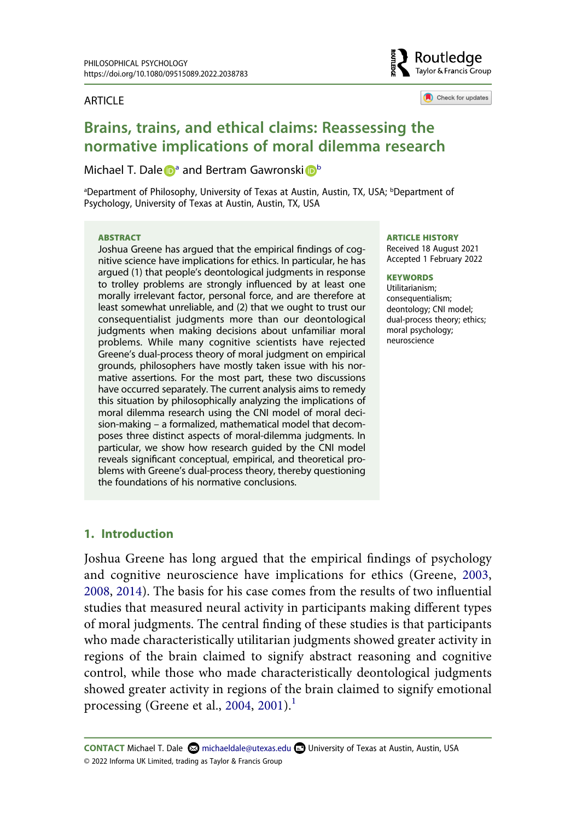#### **ARTICLE**



Check for updates

# **Brains, trains, and ethical claims: Reassessing the normative implications of moral dilemma research**

#### Micha[e](http://orcid.org/0000-0001-7827-5248)l T. Dale **D**<sup>a</sup> and Bertram Gawronsk[i](http://orcid.org/0000-0001-7938-3339) D<sup>[b](#page-0-0)</sup>

<span id="page-0-0"></span><sup>a</sup>Department of Philosophy, University of Texas at Austin, Austin, TX, USA; <sup>b</sup>Department of Psychology, University of Texas at Austin, Austin, TX, USA

#### **ABSTRACT**

Joshua Greene has argued that the empirical findings of cognitive science have implications for ethics. In particular, he has argued (1) that people's deontological judgments in response to trolley problems are strongly influenced by at least one morally irrelevant factor, personal force, and are therefore at least somewhat unreliable, and (2) that we ought to trust our consequentialist judgments more than our deontological judgments when making decisions about unfamiliar moral problems. While many cognitive scientists have rejected Greene's dual-process theory of moral judgment on empirical grounds, philosophers have mostly taken issue with his normative assertions. For the most part, these two discussions have occurred separately. The current analysis aims to remedy this situation by philosophically analyzing the implications of moral dilemma research using the CNI model of moral decision-making – a formalized, mathematical model that decomposes three distinct aspects of moral-dilemma judgments. In particular, we show how research guided by the CNI model reveals significant conceptual, empirical, and theoretical problems with Greene's dual-process theory, thereby questioning the foundations of his normative conclusions.

#### **ARTICLE HISTORY**

Received 18 August 2021 Accepted 1 February 2022

#### **KEYWORDS**

Utilitarianism; consequentialism; deontology; CNI model; dual-process theory; ethics; moral psychology; neuroscience

### **1. Introduction**

<span id="page-0-3"></span><span id="page-0-2"></span><span id="page-0-1"></span>Joshua Greene has long argued that the empirical findings of psychology and cognitive neuroscience have implications for ethics (Greene, [2003,](#page-22-0) [2008](#page-22-1), [2014\)](#page-22-2). The basis for his case comes from the results of two influential studies that measured neural activity in participants making different types of moral judgments. The central finding of these studies is that participants who made characteristically utilitarian judgments showed greater activity in regions of the brain claimed to signify abstract reasoning and cognitive control, while those who made characteristically deontological judgments showed greater activity in regions of the brain claimed to signify emotional processing (Greene et al., [2004](#page-22-3), [2001](#page-22-4)).<sup>[1](#page-18-0)</sup>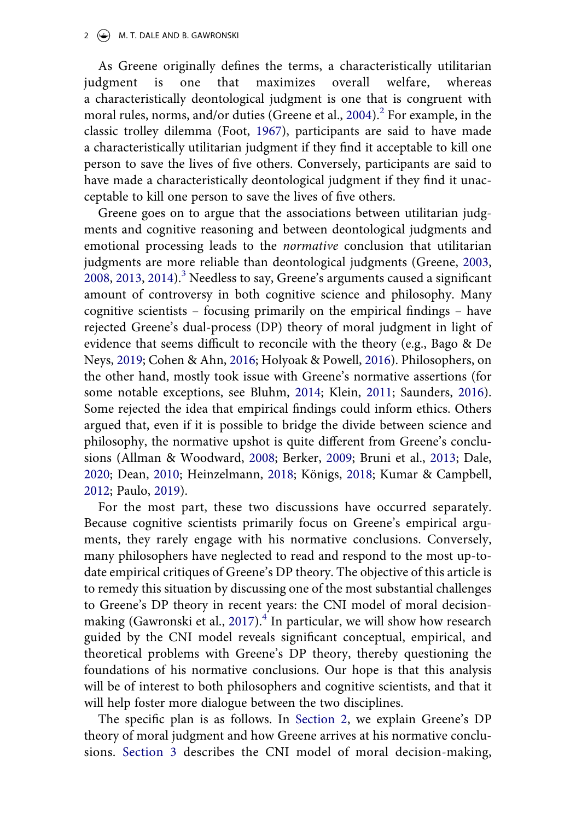<span id="page-1-4"></span>As Greene originally defines the terms, a characteristically utilitarian judgment is one that maximizes overall welfare, whereas a characteristically deontological judgment is one that is congruent with moral rules, norms, and/or duties (Greene et al.,  $2004$  $2004$ ).<sup>2</sup> For example, in the classic trolley dilemma (Foot, [1967](#page-22-5)), participants are said to have made a characteristically utilitarian judgment if they find it acceptable to kill one person to save the lives of five others. Conversely, participants are said to have made a characteristically deontological judgment if they find it unacceptable to kill one person to save the lives of five others.

<span id="page-1-6"></span><span id="page-1-1"></span>Greene goes on to argue that the associations between utilitarian judgments and cognitive reasoning and between deontological judgments and emotional processing leads to the *normative* conclusion that utilitarian judgments are more reliable than deontological judgments (Greene, [2003,](#page-22-0) [2008](#page-22-1), [2013](#page-22-6), [2014\)](#page-22-2).<sup>[3](#page-18-2)</sup> Needless to say, Greene's arguments caused a significant amount of controversy in both cognitive science and philosophy. Many cognitive scientists – focusing primarily on the empirical findings – have rejected Greene's dual-process (DP) theory of moral judgment in light of evidence that seems difficult to reconcile with the theory (e.g., Bago & De Neys, [2019](#page-20-0); Cohen & Ahn, [2016;](#page-21-0) Holyoak & Powell, [2016\)](#page-23-0). Philosophers, on the other hand, mostly took issue with Greene's normative assertions (for some notable exceptions, see Bluhm, [2014;](#page-21-1) Klein, [2011;](#page-23-1) Saunders, [2016\)](#page-23-2). Some rejected the idea that empirical findings could inform ethics. Others argued that, even if it is possible to bridge the divide between science and philosophy, the normative upshot is quite different from Greene's conclusions (Allman & Woodward, [2008](#page-20-1); Berker, [2009;](#page-21-2) Bruni et al., [2013;](#page-21-3) Dale, [2020](#page-21-4); Dean, [2010;](#page-21-5) Heinzelmann, [2018](#page-22-7); Königs, [2018](#page-23-3); Kumar & Campbell, [2012](#page-23-4); Paulo, [2019](#page-23-5)).

<span id="page-1-7"></span><span id="page-1-3"></span><span id="page-1-2"></span><span id="page-1-0"></span>For the most part, these two discussions have occurred separately. Because cognitive scientists primarily focus on Greene's empirical arguments, they rarely engage with his normative conclusions. Conversely, many philosophers have neglected to read and respond to the most up-todate empirical critiques of Greene's DP theory. The objective of this article is to remedy this situation by discussing one of the most substantial challenges to Greene's DP theory in recent years: the CNI model of moral decision-making (Gawronski et al., [2017\)](#page-22-8).<sup>4</sup> In particular, we will show how research guided by the CNI model reveals significant conceptual, empirical, and theoretical problems with Greene's DP theory, thereby questioning the foundations of his normative conclusions. Our hope is that this analysis will be of interest to both philosophers and cognitive scientists, and that it will help foster more dialogue between the two disciplines.

<span id="page-1-5"></span>The specific plan is as follows. In [Section 2](#page-2-0), we explain Greene's DP theory of moral judgment and how Greene arrives at his normative conclusions. [Section 3](#page-6-0) describes the CNI model of moral decision-making,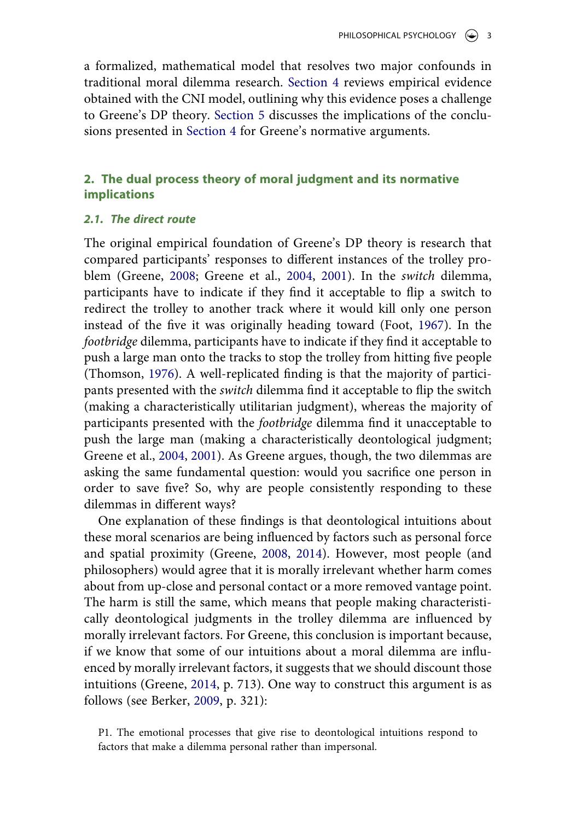a formalized, mathematical model that resolves two major confounds in traditional moral dilemma research. [Section 4](#page-10-0) reviews empirical evidence obtained with the CNI model, outlining why this evidence poses a challenge to Greene's DP theory. [Section 5](#page-14-0) discusses the implications of the conclusions presented in [Section 4](#page-10-0) for Greene's normative arguments.

## <span id="page-2-0"></span>**2. The dual process theory of moral judgment and its normative implications**

## <span id="page-2-1"></span>*2.1. The direct route*

<span id="page-2-2"></span>The original empirical foundation of Greene's DP theory is research that compared participants' responses to different instances of the trolley problem (Greene, [2008;](#page-22-1) Greene et al., [2004,](#page-22-3) [2001](#page-22-4)). In the *switch* dilemma, participants have to indicate if they find it acceptable to flip a switch to redirect the trolley to another track where it would kill only one person instead of the five it was originally heading toward (Foot, [1967](#page-22-5)). In the *footbridge* dilemma, participants have to indicate if they find it acceptable to push a large man onto the tracks to stop the trolley from hitting five people (Thomson, [1976](#page-24-0)). A well-replicated finding is that the majority of participants presented with the *switch* dilemma find it acceptable to flip the switch (making a characteristically utilitarian judgment), whereas the majority of participants presented with the *footbridge* dilemma find it unacceptable to push the large man (making a characteristically deontological judgment; Greene et al., [2004](#page-22-3), [2001\)](#page-22-4). As Greene argues, though, the two dilemmas are asking the same fundamental question: would you sacrifice one person in order to save five? So, why are people consistently responding to these dilemmas in different ways?

One explanation of these findings is that deontological intuitions about these moral scenarios are being influenced by factors such as personal force and spatial proximity (Greene, [2008](#page-22-1), [2014\)](#page-22-2). However, most people (and philosophers) would agree that it is morally irrelevant whether harm comes about from up-close and personal contact or a more removed vantage point. The harm is still the same, which means that people making characteristically deontological judgments in the trolley dilemma are influenced by morally irrelevant factors. For Greene, this conclusion is important because, if we know that some of our intuitions about a moral dilemma are influenced by morally irrelevant factors, it suggests that we should discount those intuitions (Greene, [2014,](#page-22-2) p. 713). One way to construct this argument is as follows (see Berker, [2009](#page-21-2), p. 321):

P1. The emotional processes that give rise to deontological intuitions respond to factors that make a dilemma personal rather than impersonal.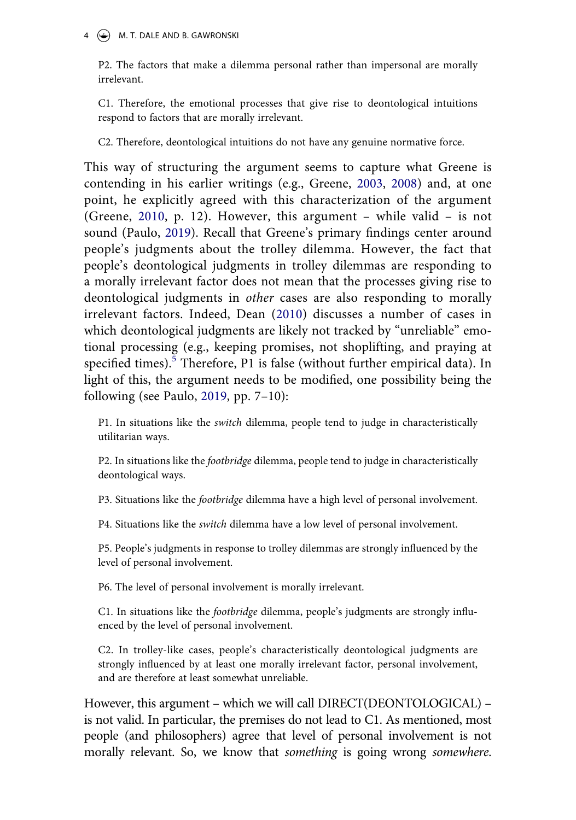## 4  $\left(\rightarrow\right)$  M. T. DALE AND B. GAWRONSKI

P2. The factors that make a dilemma personal rather than impersonal are morally irrelevant.

C1. Therefore, the emotional processes that give rise to deontological intuitions respond to factors that are morally irrelevant.

C2. Therefore, deontological intuitions do not have any genuine normative force.

<span id="page-3-0"></span>This way of structuring the argument seems to capture what Greene is contending in his earlier writings (e.g., Greene, [2003,](#page-22-0) [2008](#page-22-1)) and, at one point, he explicitly agreed with this characterization of the argument (Greene, [2010](#page-22-9), p. 12). However, this argument – while valid – is not sound (Paulo, [2019\)](#page-23-5). Recall that Greene's primary findings center around people's judgments about the trolley dilemma. However, the fact that people's deontological judgments in trolley dilemmas are responding to a morally irrelevant factor does not mean that the processes giving rise to deontological judgments in *other* cases are also responding to morally irrelevant factors. Indeed, Dean ([2010](#page-21-5)) discusses a number of cases in which deontological judgments are likely not tracked by "unreliable" emotional processing (e.g., keeping promises, not shoplifting, and praying at specified times).<sup>5</sup> Therefore, P1 is false (without further empirical data). In light of this, the argument needs to be modified, one possibility being the following (see Paulo, [2019](#page-23-5), pp. 7–10):

P1. In situations like the *switch* dilemma, people tend to judge in characteristically utilitarian ways.

P2. In situations like the *footbridge* dilemma, people tend to judge in characteristically deontological ways.

P3. Situations like the *footbridge* dilemma have a high level of personal involvement.

P4. Situations like the *switch* dilemma have a low level of personal involvement.

P5. People's judgments in response to trolley dilemmas are strongly influenced by the level of personal involvement.

P6. The level of personal involvement is morally irrelevant.

C1. In situations like the *footbridge* dilemma, people's judgments are strongly influenced by the level of personal involvement.

C2. In trolley-like cases, people's characteristically deontological judgments are strongly influenced by at least one morally irrelevant factor, personal involvement, and are therefore at least somewhat unreliable.

However, this argument – which we will call DIRECT(DEONTOLOGICAL) – is not valid. In particular, the premises do not lead to C1. As mentioned, most people (and philosophers) agree that level of personal involvement is not morally relevant. So, we know that *something* is going wrong *somewhere*.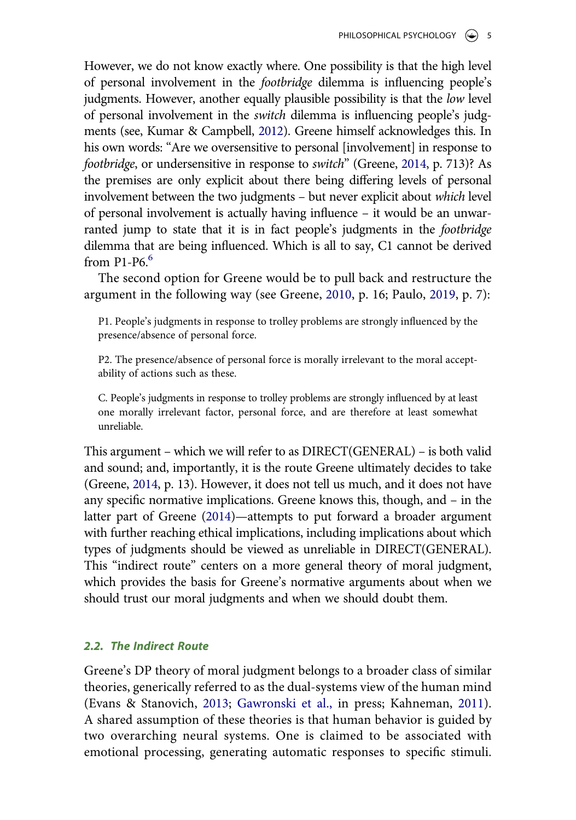However, we do not know exactly where. One possibility is that the high level of personal involvement in the *footbridge* dilemma is influencing people's judgments. However, another equally plausible possibility is that the *low* level of personal involvement in the *switch* dilemma is influencing people's judgments (see, Kumar & Campbell, [2012\)](#page-23-4). Greene himself acknowledges this. In his own words: "Are we oversensitive to personal [involvement] in response to *footbridge*, or undersensitive in response to *switch*" (Greene, [2014](#page-22-2), p. 713)? As the premises are only explicit about there being differing levels of personal involvement between the two judgments – but never explicit about *which* level of personal involvement is actually having influence – it would be an unwarranted jump to state that it is in fact people's judgments in the *footbridge*  dilemma that are being influenced. Which is all to say, C1 cannot be derived from  $P1-P6.6$  $P1-P6.6$ 

The second option for Greene would be to pull back and restructure the argument in the following way (see Greene, [2010](#page-22-9), p. 16; Paulo, [2019](#page-23-5), p. 7):

P1. People's judgments in response to trolley problems are strongly influenced by the presence/absence of personal force.

P2. The presence/absence of personal force is morally irrelevant to the moral acceptability of actions such as these.

C. People's judgments in response to trolley problems are strongly influenced by at least one morally irrelevant factor, personal force, and are therefore at least somewhat unreliable.

This argument – which we will refer to as DIRECT(GENERAL) – is both valid and sound; and, importantly, it is the route Greene ultimately decides to take (Greene, [2014](#page-22-2), p. 13). However, it does not tell us much, and it does not have any specific normative implications. Greene knows this, though, and – in the latter part of Greene [\(2014\)](#page-22-2)—attempts to put forward a broader argument with further reaching ethical implications, including implications about which types of judgments should be viewed as unreliable in DIRECT(GENERAL). This "indirect route" centers on a more general theory of moral judgment, which provides the basis for Greene's normative arguments about when we should trust our moral judgments and when we should doubt them.

## *2.2. The Indirect Route*

<span id="page-4-0"></span>Greene's DP theory of moral judgment belongs to a broader class of similar theories, generically referred to as the dual-systems view of the human mind (Evans & Stanovich, [2013;](#page-22-10) [Gawronski et al.,](#page-22-11) in press; Kahneman, [2011\)](#page-23-6). A shared assumption of these theories is that human behavior is guided by two overarching neural systems. One is claimed to be associated with emotional processing, generating automatic responses to specific stimuli.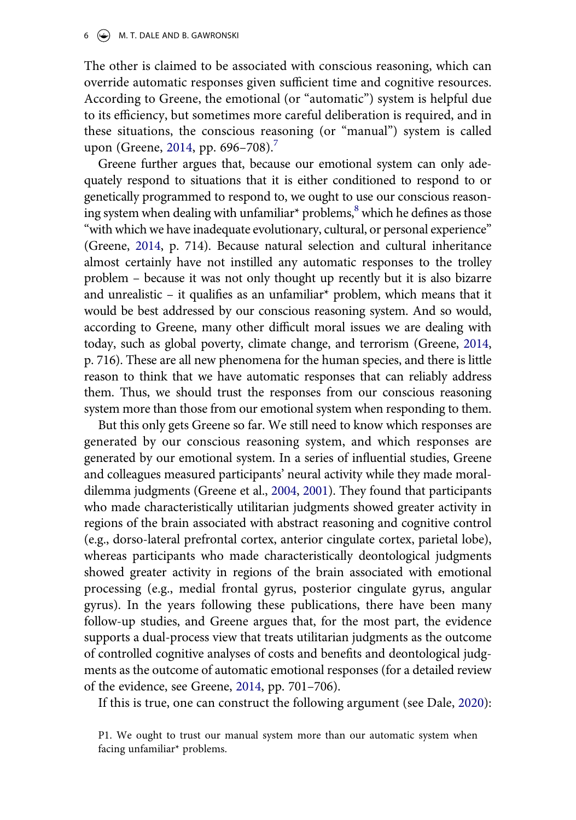$6 \quad (*)$  M. T. DALE AND B. GAWRONSKI

The other is claimed to be associated with conscious reasoning, which can override automatic responses given sufficient time and cognitive resources. According to Greene, the emotional (or "automatic") system is helpful due to its efficiency, but sometimes more careful deliberation is required, and in these situations, the conscious reasoning (or "manual") system is called upon (Greene, [2014,](#page-22-2) pp. 696–[7](#page-18-6)08).<sup>7</sup>

Greene further argues that, because our emotional system can only adequately respond to situations that it is either conditioned to respond to or genetically programmed to respond to, we ought to use our conscious reasoning system when dealing with unfamiliar<sup>\*</sup> problems, ${}^{8}$  which he defines as those "with which we have inadequate evolutionary, cultural, or personal experience" (Greene, [2014,](#page-22-2) p. 714). Because natural selection and cultural inheritance almost certainly have not instilled any automatic responses to the trolley problem – because it was not only thought up recently but it is also bizarre and unrealistic – it qualifies as an unfamiliar\* problem, which means that it would be best addressed by our conscious reasoning system. And so would, according to Greene, many other difficult moral issues we are dealing with today, such as global poverty, climate change, and terrorism (Greene, [2014,](#page-22-2) p. 716). These are all new phenomena for the human species, and there is little reason to think that we have automatic responses that can reliably address them. Thus, we should trust the responses from our conscious reasoning system more than those from our emotional system when responding to them.

But this only gets Greene so far. We still need to know which responses are generated by our conscious reasoning system, and which responses are generated by our emotional system. In a series of influential studies, Greene and colleagues measured participants' neural activity while they made moraldilemma judgments (Greene et al., [2004](#page-22-3), [2001](#page-22-4)). They found that participants who made characteristically utilitarian judgments showed greater activity in regions of the brain associated with abstract reasoning and cognitive control (e.g., dorso-lateral prefrontal cortex, anterior cingulate cortex, parietal lobe), whereas participants who made characteristically deontological judgments showed greater activity in regions of the brain associated with emotional processing (e.g., medial frontal gyrus, posterior cingulate gyrus, angular gyrus). In the years following these publications, there have been many follow-up studies, and Greene argues that, for the most part, the evidence supports a dual-process view that treats utilitarian judgments as the outcome of controlled cognitive analyses of costs and benefits and deontological judgments as the outcome of automatic emotional responses (for a detailed review of the evidence, see Greene, [2014,](#page-22-2) pp. 701–706).

If this is true, one can construct the following argument (see Dale, [2020\)](#page-21-4):

P1. We ought to trust our manual system more than our automatic system when facing unfamiliar\* problems.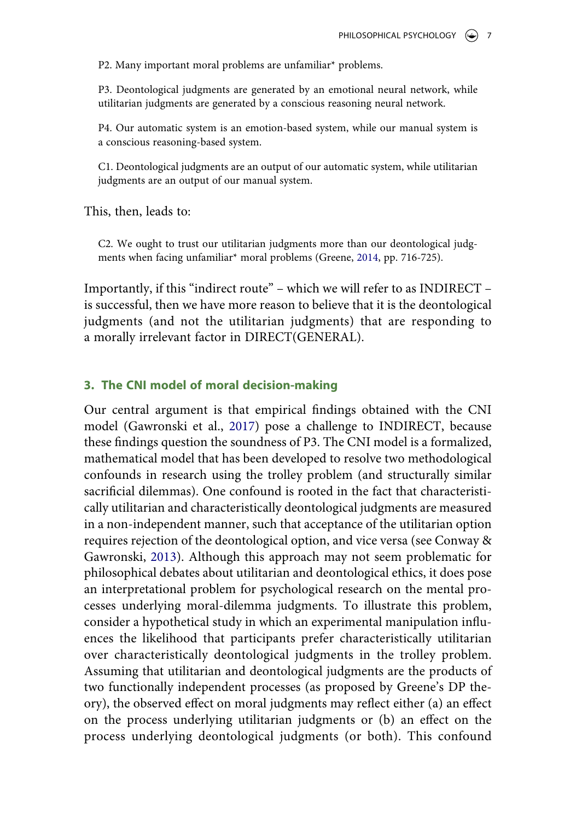P2. Many important moral problems are unfamiliar\* problems.

P3. Deontological judgments are generated by an emotional neural network, while utilitarian judgments are generated by a conscious reasoning neural network.

P4. Our automatic system is an emotion-based system, while our manual system is a conscious reasoning-based system.

C1. Deontological judgments are an output of our automatic system, while utilitarian judgments are an output of our manual system.

This, then, leads to:

C2. We ought to trust our utilitarian judgments more than our deontological judgments when facing unfamiliar\* moral problems (Greene, [2014,](#page-22-2) pp. 716-725).

Importantly, if this "indirect route" – which we will refer to as INDIRECT – is successful, then we have more reason to believe that it is the deontological judgments (and not the utilitarian judgments) that are responding to a morally irrelevant factor in DIRECT(GENERAL).

## <span id="page-6-0"></span>**3. The CNI model of moral decision-making**

<span id="page-6-1"></span>Our central argument is that empirical findings obtained with the CNI model (Gawronski et al., [2017](#page-22-8)) pose a challenge to INDIRECT, because these findings question the soundness of P3. The CNI model is a formalized, mathematical model that has been developed to resolve two methodological confounds in research using the trolley problem (and structurally similar sacrificial dilemmas). One confound is rooted in the fact that characteristically utilitarian and characteristically deontological judgments are measured in a non-independent manner, such that acceptance of the utilitarian option requires rejection of the deontological option, and vice versa (see Conway & Gawronski, [2013](#page-21-6)). Although this approach may not seem problematic for philosophical debates about utilitarian and deontological ethics, it does pose an interpretational problem for psychological research on the mental processes underlying moral-dilemma judgments. To illustrate this problem, consider a hypothetical study in which an experimental manipulation influences the likelihood that participants prefer characteristically utilitarian over characteristically deontological judgments in the trolley problem. Assuming that utilitarian and deontological judgments are the products of two functionally independent processes (as proposed by Greene's DP theory), the observed effect on moral judgments may reflect either (a) an effect on the process underlying utilitarian judgments or (b) an effect on the process underlying deontological judgments (or both). This confound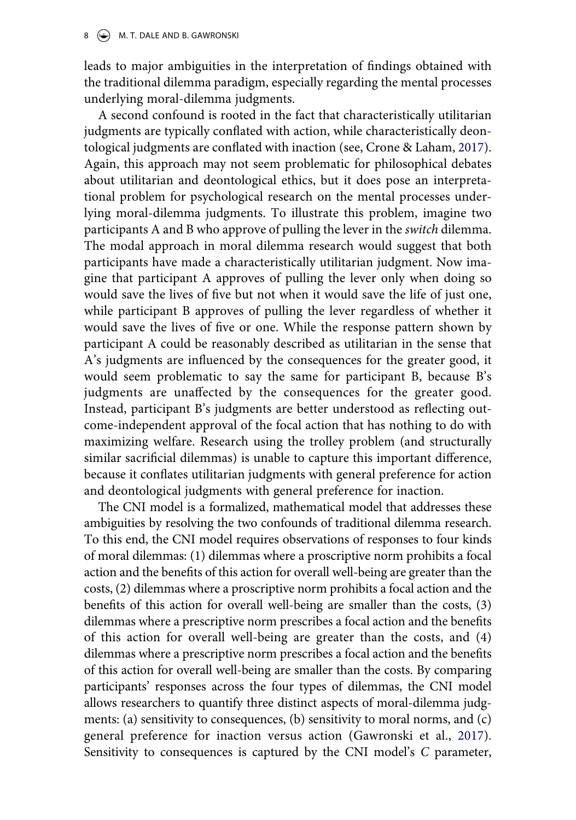leads to major ambiguities in the interpretation of findings obtained with the traditional dilemma paradigm, especially regarding the mental processes underlying moral-dilemma judgments.

<span id="page-7-0"></span>A second confound is rooted in the fact that characteristically utilitarian judgments are typically conflated with action, while characteristically deontological judgments are conflated with inaction (see, Crone & Laham, [2017\)](#page-21-7). Again, this approach may not seem problematic for philosophical debates about utilitarian and deontological ethics, but it does pose an interpretational problem for psychological research on the mental processes underlying moral-dilemma judgments. To illustrate this problem, imagine two participants A and B who approve of pulling the lever in the *switch* dilemma. The modal approach in moral dilemma research would suggest that both participants have made a characteristically utilitarian judgment. Now imagine that participant A approves of pulling the lever only when doing so would save the lives of five but not when it would save the life of just one, while participant B approves of pulling the lever regardless of whether it would save the lives of five or one. While the response pattern shown by participant A could be reasonably described as utilitarian in the sense that A's judgments are influenced by the consequences for the greater good, it would seem problematic to say the same for participant B, because B's judgments are unaffected by the consequences for the greater good. Instead, participant B's judgments are better understood as reflecting outcome-independent approval of the focal action that has nothing to do with maximizing welfare. Research using the trolley problem (and structurally similar sacrificial dilemmas) is unable to capture this important difference, because it conflates utilitarian judgments with general preference for action and deontological judgments with general preference for inaction.

The CNI model is a formalized, mathematical model that addresses these ambiguities by resolving the two confounds of traditional dilemma research. To this end, the CNI model requires observations of responses to four kinds of moral dilemmas: (1) dilemmas where a proscriptive norm prohibits a focal action and the benefits of this action for overall well-being are greater than the costs, (2) dilemmas where a proscriptive norm prohibits a focal action and the benefits of this action for overall well-being are smaller than the costs, (3) dilemmas where a prescriptive norm prescribes a focal action and the benefits of this action for overall well-being are greater than the costs, and (4) dilemmas where a prescriptive norm prescribes a focal action and the benefits of this action for overall well-being are smaller than the costs. By comparing participants' responses across the four types of dilemmas, the CNI model allows researchers to quantify three distinct aspects of moral-dilemma judgments: (a) sensitivity to consequences, (b) sensitivity to moral norms, and (c) general preference for inaction versus action (Gawronski et al., [2017\)](#page-22-8). Sensitivity to consequences is captured by the CNI model's *C* parameter,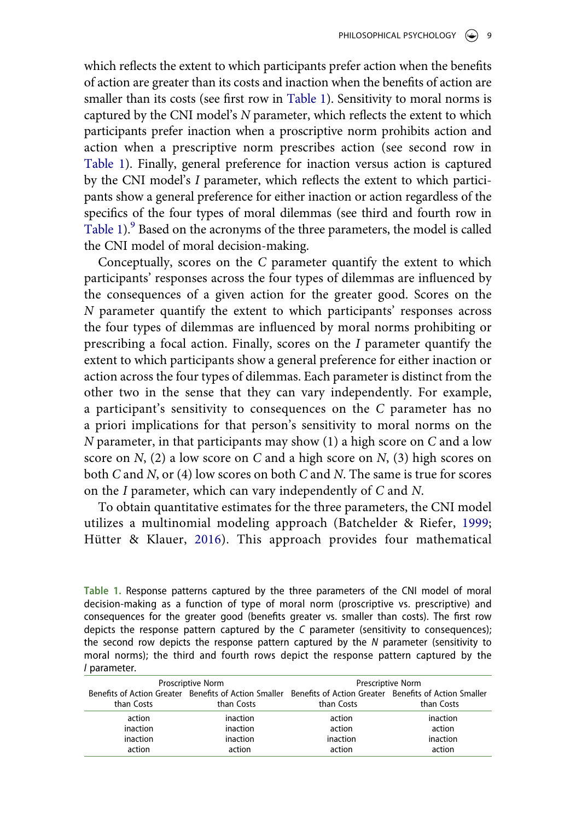which reflects the extent to which participants prefer action when the benefits of action are greater than its costs and inaction when the benefits of action are smaller than its costs (see first row in [Table 1\)](#page-8-0). Sensitivity to moral norms is captured by the CNI model's *N* parameter, which reflects the extent to which participants prefer inaction when a proscriptive norm prohibits action and action when a prescriptive norm prescribes action (see second row in [Table 1](#page-8-0)). Finally, general preference for inaction versus action is captured by the CNI model's *I* parameter, which reflects the extent to which participants show a general preference for either inaction or action regardless of the specifics of the four types of moral dilemmas (see third and fourth row in [Table 1](#page-8-0)).<sup>9</sup> Based on the acronyms of the three parameters, the model is called the CNI model of moral decision-making.

Conceptually, scores on the *C* parameter quantify the extent to which participants' responses across the four types of dilemmas are influenced by the consequences of a given action for the greater good. Scores on the *N* parameter quantify the extent to which participants' responses across the four types of dilemmas are influenced by moral norms prohibiting or prescribing a focal action. Finally, scores on the *I* parameter quantify the extent to which participants show a general preference for either inaction or action across the four types of dilemmas. Each parameter is distinct from the other two in the sense that they can vary independently. For example, a participant's sensitivity to consequences on the *C* parameter has no a priori implications for that person's sensitivity to moral norms on the *N* parameter, in that participants may show (1) a high score on *C* and a low score on *N*, (2) a low score on *C* and a high score on *N*, (3) high scores on both *C* and *N*, or (4) low scores on both *C* and *N*. The same is true for scores on the *I* parameter, which can vary independently of *C* and *N*.

<span id="page-8-2"></span><span id="page-8-1"></span>To obtain quantitative estimates for the three parameters, the CNI model utilizes a multinomial modeling approach (Batchelder & Riefer, [1999;](#page-21-8) Hütter & Klauer, [2016\)](#page-23-7). This approach provides four mathematical

<span id="page-8-0"></span>**Table 1.** Response patterns captured by the three parameters of the CNI model of moral decision-making as a function of type of moral norm (proscriptive vs. prescriptive) and consequences for the greater good (benefits greater vs. smaller than costs). The first row depicts the response pattern captured by the *C* parameter (sensitivity to consequences); the second row depicts the response pattern captured by the *N* parameter (sensitivity to moral norms); the third and fourth rows depict the response pattern captured by the *I* parameter.

| Proscriptive Norm |                                                                                                             | Prescriptive Norm |            |
|-------------------|-------------------------------------------------------------------------------------------------------------|-------------------|------------|
|                   | Benefits of Action Greater Benefits of Action Smaller Benefits of Action Greater Benefits of Action Smaller |                   |            |
| than Costs        | than Costs                                                                                                  | than Costs        | than Costs |
| action            | inaction                                                                                                    | action            | inaction   |
| inaction          | inaction                                                                                                    | action            | action     |
| inaction          | inaction                                                                                                    | inaction          | inaction   |
| action            | action                                                                                                      | action            | action     |
|                   |                                                                                                             |                   |            |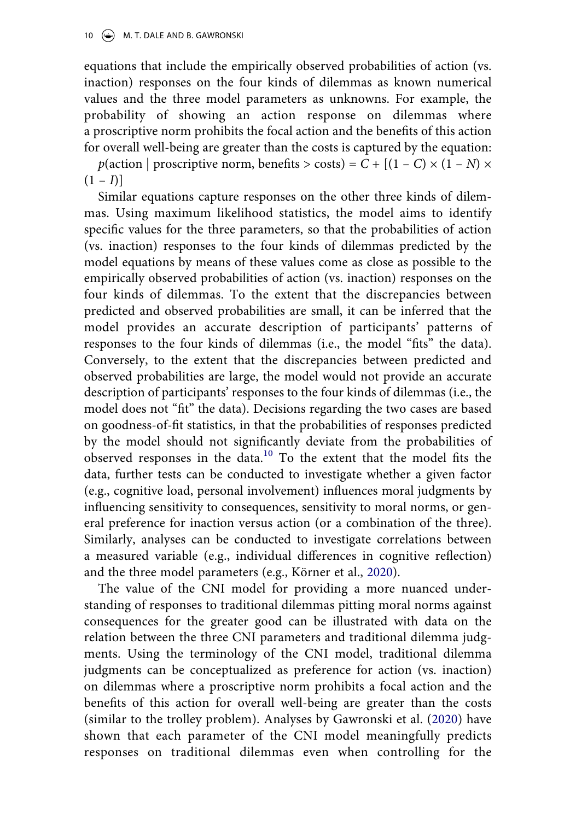equations that include the empirically observed probabilities of action (vs. inaction) responses on the four kinds of dilemmas as known numerical values and the three model parameters as unknowns. For example, the probability of showing an action response on dilemmas where a proscriptive norm prohibits the focal action and the benefits of this action for overall well-being are greater than the costs is captured by the equation: *p*(action | proscriptive norm, benefits > costs) =  $C + [(1 - C) \times (1 - N) \times$  $(1 - I)$ ]

Similar equations capture responses on the other three kinds of dilemmas. Using maximum likelihood statistics, the model aims to identify specific values for the three parameters, so that the probabilities of action (vs. inaction) responses to the four kinds of dilemmas predicted by the model equations by means of these values come as close as possible to the empirically observed probabilities of action (vs. inaction) responses on the four kinds of dilemmas. To the extent that the discrepancies between predicted and observed probabilities are small, it can be inferred that the model provides an accurate description of participants' patterns of responses to the four kinds of dilemmas (i.e., the model "fits" the data). Conversely, to the extent that the discrepancies between predicted and observed probabilities are large, the model would not provide an accurate description of participants' responses to the four kinds of dilemmas (i.e., the model does not "fit" the data). Decisions regarding the two cases are based on goodness-of-fit statistics, in that the probabilities of responses predicted by the model should not significantly deviate from the probabilities of observed responses in the data.[10](#page-19-2) To the extent that the model fits the data, further tests can be conducted to investigate whether a given factor (e.g., cognitive load, personal involvement) influences moral judgments by influencing sensitivity to consequences, sensitivity to moral norms, or general preference for inaction versus action (or a combination of the three). Similarly, analyses can be conducted to investigate correlations between a measured variable (e.g., individual differences in cognitive reflection) and the three model parameters (e.g., Körner et al., [2020](#page-23-8)).

<span id="page-9-1"></span><span id="page-9-0"></span>The value of the CNI model for providing a more nuanced understanding of responses to traditional dilemmas pitting moral norms against consequences for the greater good can be illustrated with data on the relation between the three CNI parameters and traditional dilemma judgments. Using the terminology of the CNI model, traditional dilemma judgments can be conceptualized as preference for action (vs. inaction) on dilemmas where a proscriptive norm prohibits a focal action and the benefits of this action for overall well-being are greater than the costs (similar to the trolley problem). Analyses by Gawronski et al. ([2020](#page-22-12)) have shown that each parameter of the CNI model meaningfully predicts responses on traditional dilemmas even when controlling for the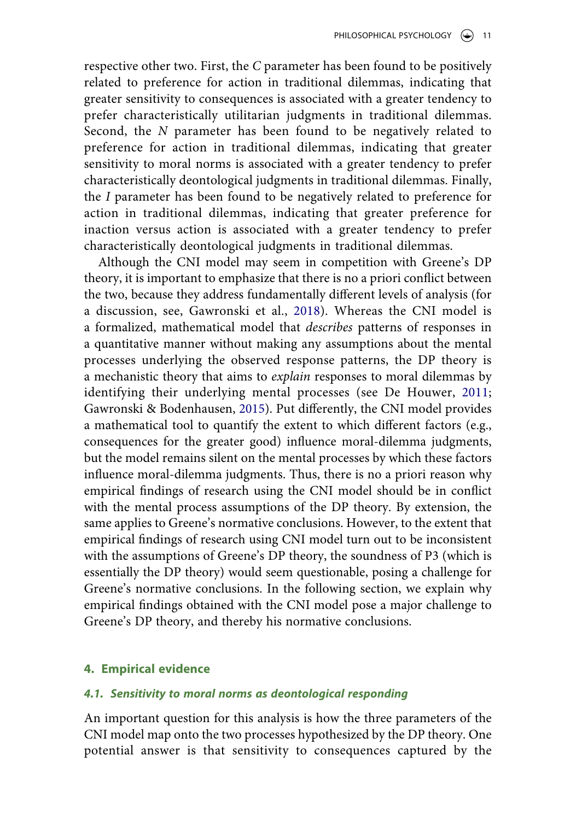respective other two. First, the *C* parameter has been found to be positively related to preference for action in traditional dilemmas, indicating that greater sensitivity to consequences is associated with a greater tendency to prefer characteristically utilitarian judgments in traditional dilemmas. Second, the *N* parameter has been found to be negatively related to preference for action in traditional dilemmas, indicating that greater sensitivity to moral norms is associated with a greater tendency to prefer characteristically deontological judgments in traditional dilemmas. Finally, the *I* parameter has been found to be negatively related to preference for action in traditional dilemmas, indicating that greater preference for inaction versus action is associated with a greater tendency to prefer characteristically deontological judgments in traditional dilemmas.

<span id="page-10-3"></span><span id="page-10-2"></span><span id="page-10-1"></span>Although the CNI model may seem in competition with Greene's DP theory, it is important to emphasize that there is no a priori conflict between the two, because they address fundamentally different levels of analysis (for a discussion, see, Gawronski et al., [2018](#page-22-13)). Whereas the CNI model is a formalized, mathematical model that *describes* patterns of responses in a quantitative manner without making any assumptions about the mental processes underlying the observed response patterns, the DP theory is a mechanistic theory that aims to *explain* responses to moral dilemmas by identifying their underlying mental processes (see De Houwer, [2011;](#page-21-9) Gawronski & Bodenhausen, [2015\)](#page-22-14). Put differently, the CNI model provides a mathematical tool to quantify the extent to which different factors (e.g., consequences for the greater good) influence moral-dilemma judgments, but the model remains silent on the mental processes by which these factors influence moral-dilemma judgments. Thus, there is no a priori reason why empirical findings of research using the CNI model should be in conflict with the mental process assumptions of the DP theory. By extension, the same applies to Greene's normative conclusions. However, to the extent that empirical findings of research using CNI model turn out to be inconsistent with the assumptions of Greene's DP theory, the soundness of P3 (which is essentially the DP theory) would seem questionable, posing a challenge for Greene's normative conclusions. In the following section, we explain why empirical findings obtained with the CNI model pose a major challenge to Greene's DP theory, and thereby his normative conclusions.

## <span id="page-10-0"></span>**4. Empirical evidence**

## *4.1. Sensitivity to moral norms as deontological responding*

An important question for this analysis is how the three parameters of the CNI model map onto the two processes hypothesized by the DP theory. One potential answer is that sensitivity to consequences captured by the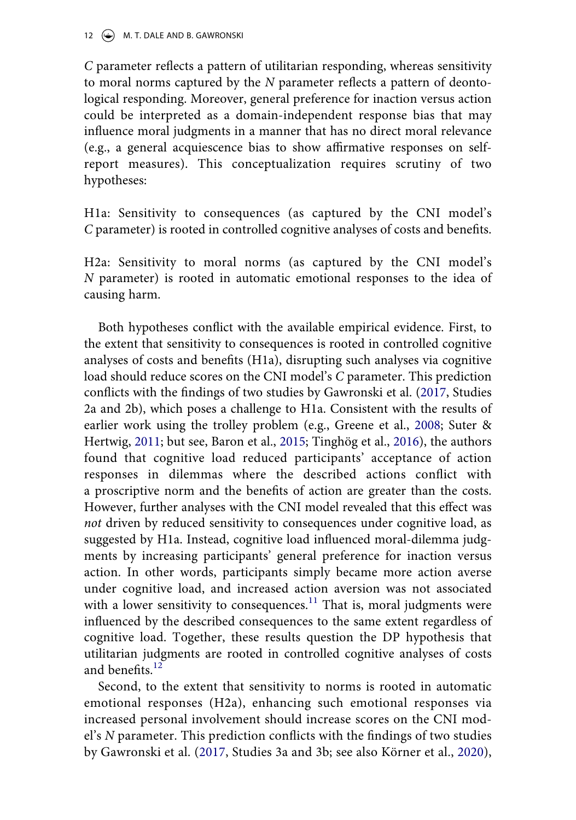*C* parameter reflects a pattern of utilitarian responding, whereas sensitivity to moral norms captured by the *N* parameter reflects a pattern of deontological responding. Moreover, general preference for inaction versus action could be interpreted as a domain-independent response bias that may influence moral judgments in a manner that has no direct moral relevance (e.g., a general acquiescence bias to show affirmative responses on selfreport measures). This conceptualization requires scrutiny of two hypotheses:

H1a: Sensitivity to consequences (as captured by the CNI model's *C* parameter) is rooted in controlled cognitive analyses of costs and benefits.

H2a: Sensitivity to moral norms (as captured by the CNI model's *N* parameter) is rooted in automatic emotional responses to the idea of causing harm.

<span id="page-11-1"></span><span id="page-11-0"></span>Both hypotheses conflict with the available empirical evidence. First, to the extent that sensitivity to consequences is rooted in controlled cognitive analyses of costs and benefits (H1a), disrupting such analyses via cognitive load should reduce scores on the CNI model's *C* parameter. This prediction conflicts with the findings of two studies by Gawronski et al. [\(2017](#page-22-8), Studies 2a and 2b), which poses a challenge to H1a. Consistent with the results of earlier work using the trolley problem (e.g., Greene et al., [2008](#page-22-15); Suter & Hertwig, [2011](#page-23-9); but see, Baron et al., [2015;](#page-21-10) Tinghög et al., [2016](#page-24-1)), the authors found that cognitive load reduced participants' acceptance of action responses in dilemmas where the described actions conflict with a proscriptive norm and the benefits of action are greater than the costs. However, further analyses with the CNI model revealed that this effect was *not* driven by reduced sensitivity to consequences under cognitive load, as suggested by H1a. Instead, cognitive load influenced moral-dilemma judgments by increasing participants' general preference for inaction versus action. In other words, participants simply became more action averse under cognitive load, and increased action aversion was not associated with a lower sensitivity to consequences. $11$  That is, moral judgments were influenced by the described consequences to the same extent regardless of cognitive load. Together, these results question the DP hypothesis that utilitarian judgments are rooted in controlled cognitive analyses of costs and benefits.<sup>12</sup>

Second, to the extent that sensitivity to norms is rooted in automatic emotional responses (H2a), enhancing such emotional responses via increased personal involvement should increase scores on the CNI model's *N* parameter. This prediction conflicts with the findings of two studies by Gawronski et al. ([2017](#page-22-8), Studies 3a and 3b; see also Körner et al., [2020\)](#page-23-8),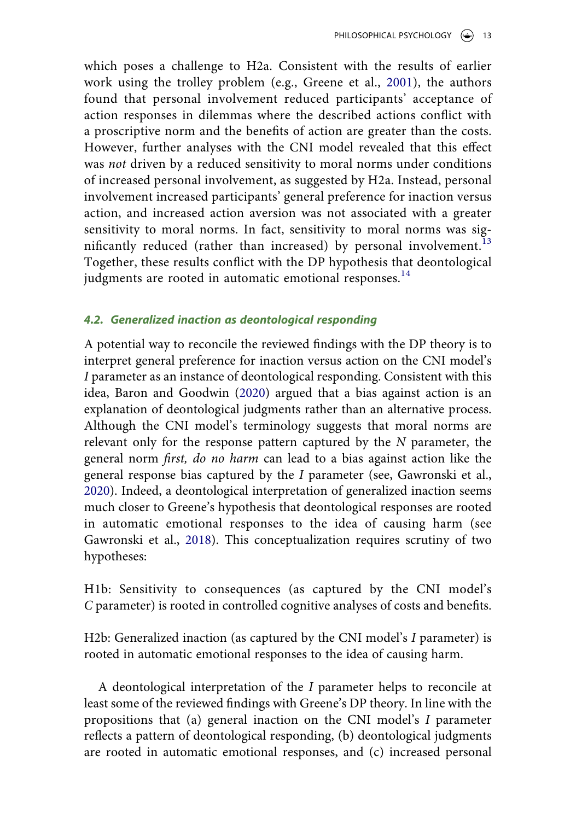which poses a challenge to H2a. Consistent with the results of earlier work using the trolley problem (e.g., Greene et al., [2001\)](#page-22-4), the authors found that personal involvement reduced participants' acceptance of action responses in dilemmas where the described actions conflict with a proscriptive norm and the benefits of action are greater than the costs. However, further analyses with the CNI model revealed that this effect was *not* driven by a reduced sensitivity to moral norms under conditions of increased personal involvement, as suggested by H2a. Instead, personal involvement increased participants' general preference for inaction versus action, and increased action aversion was not associated with a greater sensitivity to moral norms. In fact, sensitivity to moral norms was sig-nificantly reduced (rather than increased) by personal involvement.<sup>[13](#page-19-5)</sup> Together, these results conflict with the DP hypothesis that deontological judgments are rooted in automatic emotional responses.<sup>[14](#page-19-6)</sup>

## <span id="page-12-0"></span>*4.2. Generalized inaction as deontological responding*

<span id="page-12-1"></span>A potential way to reconcile the reviewed findings with the DP theory is to interpret general preference for inaction versus action on the CNI model's *I* parameter as an instance of deontological responding. Consistent with this idea, Baron and Goodwin [\(2020](#page-20-2)) argued that a bias against action is an explanation of deontological judgments rather than an alternative process. Although the CNI model's terminology suggests that moral norms are relevant only for the response pattern captured by the *N* parameter, the general norm *first, do no harm* can lead to a bias against action like the general response bias captured by the *I* parameter (see, Gawronski et al., [2020](#page-22-12)). Indeed, a deontological interpretation of generalized inaction seems much closer to Greene's hypothesis that deontological responses are rooted in automatic emotional responses to the idea of causing harm (see Gawronski et al., [2018\)](#page-22-13). This conceptualization requires scrutiny of two hypotheses:

H1b: Sensitivity to consequences (as captured by the CNI model's *C* parameter) is rooted in controlled cognitive analyses of costs and benefits.

H2b: Generalized inaction (as captured by the CNI model's *I* parameter) is rooted in automatic emotional responses to the idea of causing harm.

A deontological interpretation of the *I* parameter helps to reconcile at least some of the reviewed findings with Greene's DP theory. In line with the propositions that (a) general inaction on the CNI model's *I* parameter reflects a pattern of deontological responding, (b) deontological judgments are rooted in automatic emotional responses, and (c) increased personal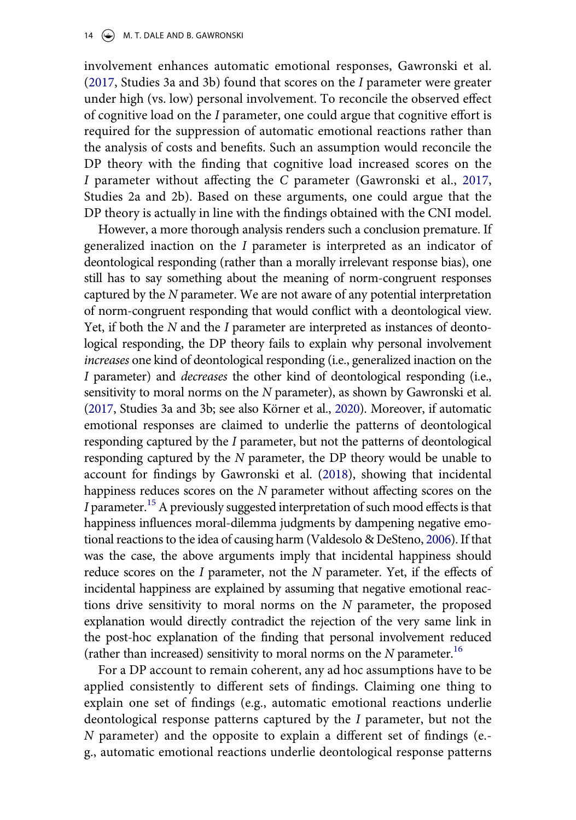involvement enhances automatic emotional responses, Gawronski et al. ([2017](#page-22-8), Studies 3a and 3b) found that scores on the *I* parameter were greater under high (vs. low) personal involvement. To reconcile the observed effect of cognitive load on the *I* parameter, one could argue that cognitive effort is required for the suppression of automatic emotional reactions rather than the analysis of costs and benefits. Such an assumption would reconcile the DP theory with the finding that cognitive load increased scores on the *I* parameter without affecting the *C* parameter (Gawronski et al., [2017,](#page-22-8) Studies 2a and 2b). Based on these arguments, one could argue that the DP theory is actually in line with the findings obtained with the CNI model.

However, a more thorough analysis renders such a conclusion premature. If generalized inaction on the *I* parameter is interpreted as an indicator of deontological responding (rather than a morally irrelevant response bias), one still has to say something about the meaning of norm-congruent responses captured by the *N* parameter. We are not aware of any potential interpretation of norm-congruent responding that would conflict with a deontological view. Yet, if both the *N* and the *I* parameter are interpreted as instances of deontological responding, the DP theory fails to explain why personal involvement *increases* one kind of deontological responding (i.e., generalized inaction on the *I* parameter) and *decreases* the other kind of deontological responding (i.e., sensitivity to moral norms on the *N* parameter), as shown by Gawronski et al. ([2017](#page-22-8), Studies 3a and 3b; see also Körner et al., [2020](#page-23-8)). Moreover, if automatic emotional responses are claimed to underlie the patterns of deontological responding captured by the *I* parameter, but not the patterns of deontological responding captured by the *N* parameter, the DP theory would be unable to account for findings by Gawronski et al. [\(2018](#page-22-13)), showing that incidental happiness reduces scores on the *N* parameter without affecting scores on the *I* parameter.<sup>15</sup> A previously suggested interpretation of such mood effects is that happiness influences moral-dilemma judgments by dampening negative emotional reactions to the idea of causing harm (Valdesolo & DeSteno, [2006](#page-24-2)). If that was the case, the above arguments imply that incidental happiness should reduce scores on the *I* parameter, not the *N* parameter. Yet, if the effects of incidental happiness are explained by assuming that negative emotional reactions drive sensitivity to moral norms on the *N* parameter, the proposed explanation would directly contradict the rejection of the very same link in the post-hoc explanation of the finding that personal involvement reduced (rather than increased) sensitivity to moral norms on the  $N$  parameter.<sup>16</sup>

<span id="page-13-0"></span>For a DP account to remain coherent, any ad hoc assumptions have to be applied consistently to different sets of findings. Claiming one thing to explain one set of findings (e.g., automatic emotional reactions underlie deontological response patterns captured by the *I* parameter, but not the *N* parameter) and the opposite to explain a different set of findings (e. g., automatic emotional reactions underlie deontological response patterns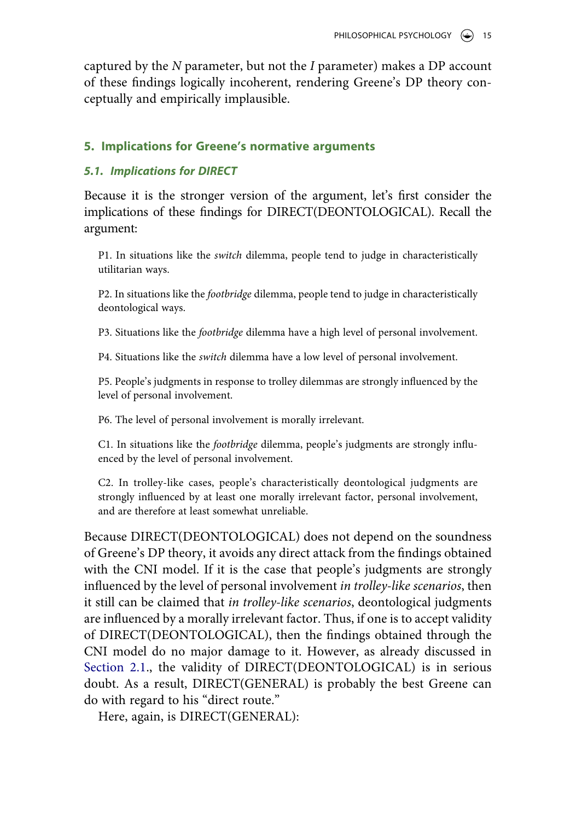captured by the *N* parameter, but not the *I* parameter) makes a DP account of these findings logically incoherent, rendering Greene's DP theory conceptually and empirically implausible.

## <span id="page-14-0"></span>**5. Implications for Greene's normative arguments**

## *5.1. Implications for DIRECT*

Because it is the stronger version of the argument, let's first consider the implications of these findings for DIRECT(DEONTOLOGICAL). Recall the argument:

P1. In situations like the *switch* dilemma, people tend to judge in characteristically utilitarian ways.

P2. In situations like the *footbridge* dilemma, people tend to judge in characteristically deontological ways.

P3. Situations like the *footbridge* dilemma have a high level of personal involvement.

P4. Situations like the *switch* dilemma have a low level of personal involvement.

P5. People's judgments in response to trolley dilemmas are strongly influenced by the level of personal involvement.

P6. The level of personal involvement is morally irrelevant.

C1. In situations like the *footbridge* dilemma, people's judgments are strongly influenced by the level of personal involvement.

C2. In trolley-like cases, people's characteristically deontological judgments are strongly influenced by at least one morally irrelevant factor, personal involvement, and are therefore at least somewhat unreliable.

Because DIRECT(DEONTOLOGICAL) does not depend on the soundness of Greene's DP theory, it avoids any direct attack from the findings obtained with the CNI model. If it is the case that people's judgments are strongly influenced by the level of personal involvement *in trolley-like scenarios*, then it still can be claimed that *in trolley-like scenarios*, deontological judgments are influenced by a morally irrelevant factor. Thus, if one is to accept validity of DIRECT(DEONTOLOGICAL), then the findings obtained through the CNI model do no major damage to it. However, as already discussed in [Section 2.1](#page-2-1)., the validity of DIRECT(DEONTOLOGICAL) is in serious doubt. As a result, DIRECT(GENERAL) is probably the best Greene can do with regard to his "direct route."

Here, again, is DIRECT(GENERAL):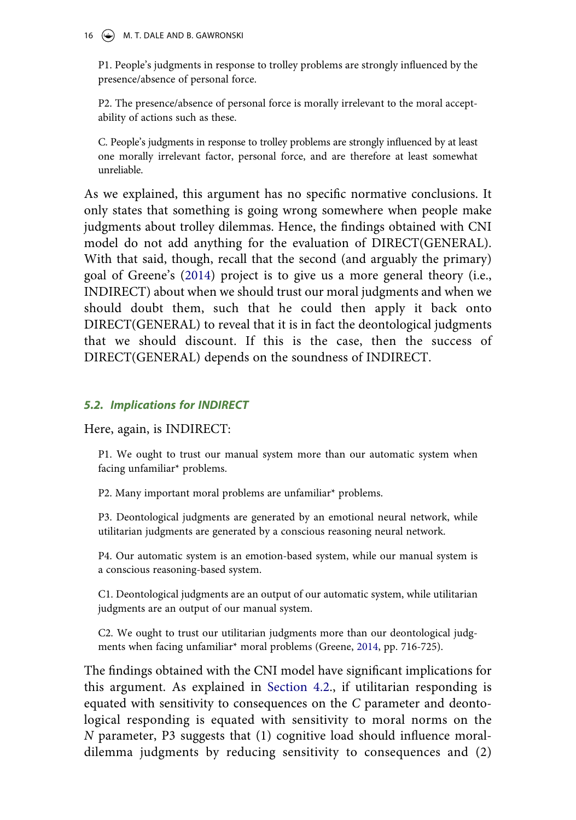#### 16 (C) M. T. DALE AND B. GAWRONSKI

P1. People's judgments in response to trolley problems are strongly influenced by the presence/absence of personal force.

P2. The presence/absence of personal force is morally irrelevant to the moral acceptability of actions such as these.

C. People's judgments in response to trolley problems are strongly influenced by at least one morally irrelevant factor, personal force, and are therefore at least somewhat unreliable.

As we explained, this argument has no specific normative conclusions. It only states that something is going wrong somewhere when people make judgments about trolley dilemmas. Hence, the findings obtained with CNI model do not add anything for the evaluation of DIRECT(GENERAL). With that said, though, recall that the second (and arguably the primary) goal of Greene's [\(2014\)](#page-22-2) project is to give us a more general theory (i.e., INDIRECT) about when we should trust our moral judgments and when we should doubt them, such that he could then apply it back onto DIRECT(GENERAL) to reveal that it is in fact the deontological judgments that we should discount. If this is the case, then the success of DIRECT(GENERAL) depends on the soundness of INDIRECT.

## *5.2. Implications for INDIRECT*

Here, again, is INDIRECT:

P1. We ought to trust our manual system more than our automatic system when facing unfamiliar\* problems.

P2. Many important moral problems are unfamiliar\* problems.

P3. Deontological judgments are generated by an emotional neural network, while utilitarian judgments are generated by a conscious reasoning neural network.

P4. Our automatic system is an emotion-based system, while our manual system is a conscious reasoning-based system.

C1. Deontological judgments are an output of our automatic system, while utilitarian judgments are an output of our manual system.

C2. We ought to trust our utilitarian judgments more than our deontological judgments when facing unfamiliar\* moral problems (Greene, [2014,](#page-22-2) pp. 716-725).

The findings obtained with the CNI model have significant implications for this argument. As explained in [Section 4.2](#page-12-0)., if utilitarian responding is equated with sensitivity to consequences on the *C* parameter and deontological responding is equated with sensitivity to moral norms on the *N* parameter, P3 suggests that (1) cognitive load should influence moraldilemma judgments by reducing sensitivity to consequences and (2)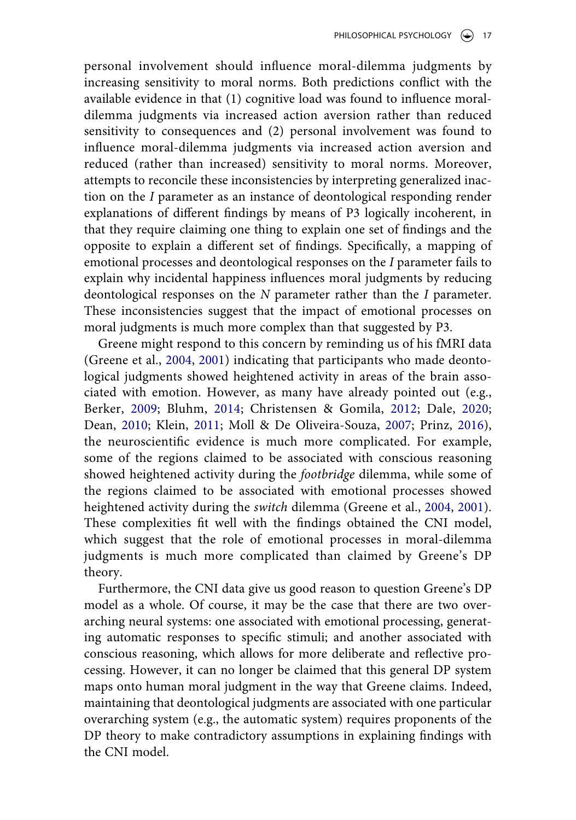personal involvement should influence moral-dilemma judgments by increasing sensitivity to moral norms. Both predictions conflict with the available evidence in that (1) cognitive load was found to influence moraldilemma judgments via increased action aversion rather than reduced sensitivity to consequences and (2) personal involvement was found to influence moral-dilemma judgments via increased action aversion and reduced (rather than increased) sensitivity to moral norms. Moreover, attempts to reconcile these inconsistencies by interpreting generalized inaction on the *I* parameter as an instance of deontological responding render explanations of different findings by means of P3 logically incoherent, in that they require claiming one thing to explain one set of findings and the opposite to explain a different set of findings. Specifically, a mapping of emotional processes and deontological responses on the *I* parameter fails to explain why incidental happiness influences moral judgments by reducing deontological responses on the *N* parameter rather than the *I* parameter. These inconsistencies suggest that the impact of emotional processes on moral judgments is much more complex than that suggested by P3.

<span id="page-16-1"></span><span id="page-16-0"></span>Greene might respond to this concern by reminding us of his fMRI data (Greene et al., [2004](#page-22-3), [2001\)](#page-22-4) indicating that participants who made deontological judgments showed heightened activity in areas of the brain associated with emotion. However, as many have already pointed out (e.g., Berker, [2009;](#page-21-2) Bluhm, [2014](#page-21-1); Christensen & Gomila, [2012](#page-21-11); Dale, [2020;](#page-21-4) Dean, [2010;](#page-21-5) Klein, [2011;](#page-23-1) Moll & De Oliveira-Souza, [2007](#page-23-10); Prinz, [2016\)](#page-23-11), the neuroscientific evidence is much more complicated. For example, some of the regions claimed to be associated with conscious reasoning showed heightened activity during the *footbridge* dilemma, while some of the regions claimed to be associated with emotional processes showed heightened activity during the *switch* dilemma (Greene et al., [2004](#page-22-3), [2001\)](#page-22-4). These complexities fit well with the findings obtained the CNI model, which suggest that the role of emotional processes in moral-dilemma judgments is much more complicated than claimed by Greene's DP theory.

Furthermore, the CNI data give us good reason to question Greene's DP model as a whole. Of course, it may be the case that there are two overarching neural systems: one associated with emotional processing, generating automatic responses to specific stimuli; and another associated with conscious reasoning, which allows for more deliberate and reflective processing. However, it can no longer be claimed that this general DP system maps onto human moral judgment in the way that Greene claims. Indeed, maintaining that deontological judgments are associated with one particular overarching system (e.g., the automatic system) requires proponents of the DP theory to make contradictory assumptions in explaining findings with the CNI model.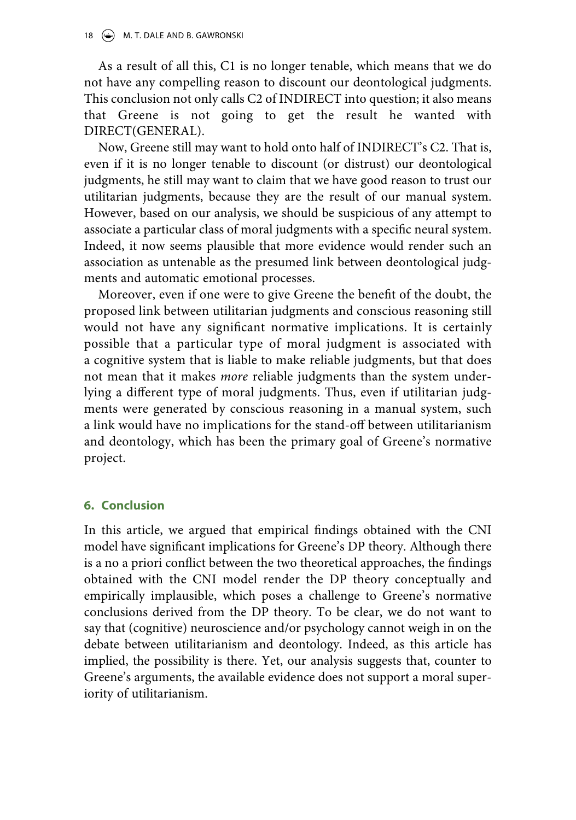As a result of all this, C1 is no longer tenable, which means that we do not have any compelling reason to discount our deontological judgments. This conclusion not only calls C2 of INDIRECT into question; it also means that Greene is not going to get the result he wanted with DIRECT(GENERAL).

Now, Greene still may want to hold onto half of INDIRECT's C2. That is, even if it is no longer tenable to discount (or distrust) our deontological judgments, he still may want to claim that we have good reason to trust our utilitarian judgments, because they are the result of our manual system. However, based on our analysis, we should be suspicious of any attempt to associate a particular class of moral judgments with a specific neural system. Indeed, it now seems plausible that more evidence would render such an association as untenable as the presumed link between deontological judgments and automatic emotional processes.

Moreover, even if one were to give Greene the benefit of the doubt, the proposed link between utilitarian judgments and conscious reasoning still would not have any significant normative implications. It is certainly possible that a particular type of moral judgment is associated with a cognitive system that is liable to make reliable judgments, but that does not mean that it makes *more* reliable judgments than the system underlying a different type of moral judgments. Thus, even if utilitarian judgments were generated by conscious reasoning in a manual system, such a link would have no implications for the stand-off between utilitarianism and deontology, which has been the primary goal of Greene's normative project.

## **6. Conclusion**

In this article, we argued that empirical findings obtained with the CNI model have significant implications for Greene's DP theory. Although there is a no a priori conflict between the two theoretical approaches, the findings obtained with the CNI model render the DP theory conceptually and empirically implausible, which poses a challenge to Greene's normative conclusions derived from the DP theory. To be clear, we do not want to say that (cognitive) neuroscience and/or psychology cannot weigh in on the debate between utilitarianism and deontology. Indeed, as this article has implied, the possibility is there. Yet, our analysis suggests that, counter to Greene's arguments, the available evidence does not support a moral superiority of utilitarianism.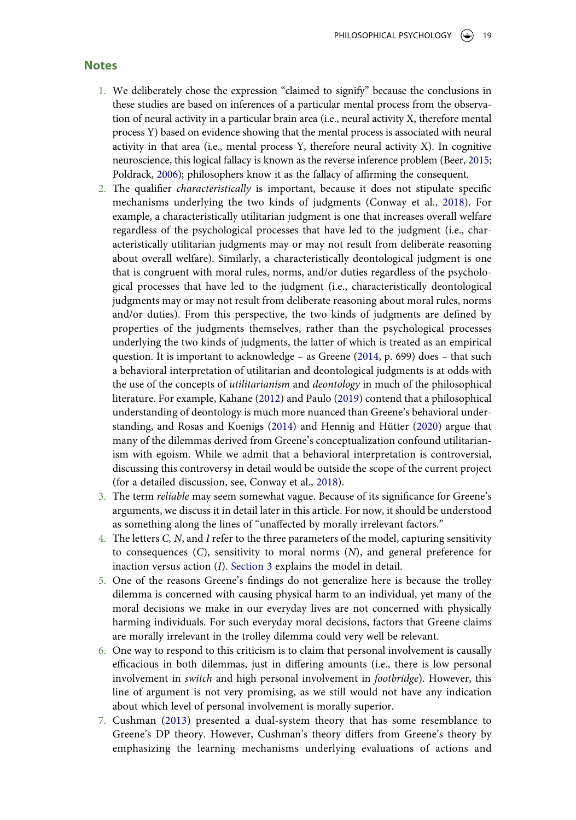#### **Notes**

- <span id="page-18-0"></span>1. We deliberately chose the expression "claimed to signify" because the conclusions in these studies are based on inferences of a particular mental process from the observation of neural activity in a particular brain area (i.e., neural activity X, therefore mental process Y) based on evidence showing that the mental process is associated with neural activity in that area (i.e., mental process Y, therefore neural activity X). In cognitive neuroscience, this logical fallacy is known as the reverse inference problem (Beer, [2015](#page-21-12); Poldrack, [2006](#page-23-12)); philosophers know it as the fallacy of affirming the consequent.
- <span id="page-18-11"></span><span id="page-18-7"></span><span id="page-18-1"></span>2. The qualifier *characteristically* is important, because it does not stipulate specific mechanisms underlying the two kinds of judgments (Conway et al., [2018\)](#page-21-13). For example, a characteristically utilitarian judgment is one that increases overall welfare regardless of the psychological processes that have led to the judgment (i.e., characteristically utilitarian judgments may or may not result from deliberate reasoning about overall welfare). Similarly, a characteristically deontological judgment is one that is congruent with moral rules, norms, and/or duties regardless of the psychological processes that have led to the judgment (i.e., characteristically deontological judgments may or may not result from deliberate reasoning about moral rules, norms and/or duties). From this perspective, the two kinds of judgments are defined by properties of the judgments themselves, rather than the psychological processes underlying the two kinds of judgments, the latter of which is treated as an empirical question. It is important to acknowledge – as Greene [\(2014,](#page-22-2) p. 699) does – that such a behavioral interpretation of utilitarian and deontological judgments is at odds with the use of the concepts of *utilitarianism* and *deontology* in much of the philosophical literature. For example, Kahane ([2012](#page-23-13)) and Paulo [\(2019\)](#page-23-5) contend that a philosophical understanding of deontology is much more nuanced than Greene's behavioral understanding, and Rosas and Koenigs ([2014\)](#page-23-14) and Hennig and Hütter ([2020](#page-22-16)) argue that many of the dilemmas derived from Greene's conceptualization confound utilitarianism with egoism. While we admit that a behavioral interpretation is controversial, discussing this controversy in detail would be outside the scope of the current project (for a detailed discussion, see, Conway et al., [2018](#page-21-13)).
- <span id="page-18-10"></span><span id="page-18-9"></span><span id="page-18-8"></span><span id="page-18-2"></span>3. The term *reliable* may seem somewhat vague. Because of its significance for Greene's arguments, we discuss it in detail later in this article. For now, it should be understood as something along the lines of "unaffected by morally irrelevant factors."
- <span id="page-18-3"></span>4. The letters *C, N*, and *I* refer to the three parameters of the model, capturing sensitivity to consequences (*C*), sensitivity to moral norms (*N*), and general preference for inaction versus action (*I*). [Section 3](#page-6-0) explains the model in detail.
- <span id="page-18-4"></span>5. One of the reasons Greene's findings do not generalize here is because the trolley dilemma is concerned with causing physical harm to an individual, yet many of the moral decisions we make in our everyday lives are not concerned with physically harming individuals. For such everyday moral decisions, factors that Greene claims are morally irrelevant in the trolley dilemma could very well be relevant.
- <span id="page-18-5"></span>6. One way to respond to this criticism is to claim that personal involvement is causally efficacious in both dilemmas, just in differing amounts (i.e., there is low personal involvement in *switch* and high personal involvement in *footbridge*). However, this line of argument is not very promising, as we still would not have any indication about which level of personal involvement is morally superior.
- <span id="page-18-6"></span>7. Cushman ([2013](#page-21-14)) presented a dual-system theory that has some resemblance to Greene's DP theory. However, Cushman's theory differs from Greene's theory by emphasizing the learning mechanisms underlying evaluations of actions and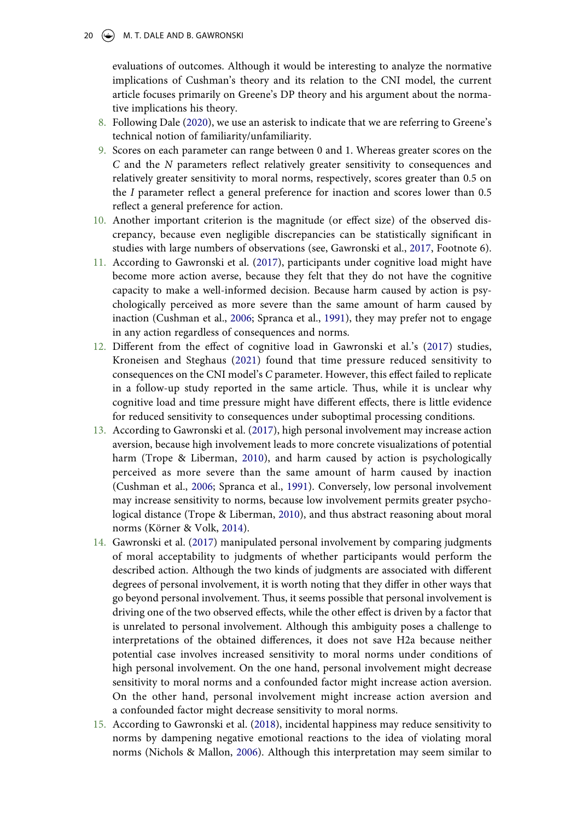20  $\left(\rightarrow\right)$  M. T. DALE AND B. GAWRONSKI

evaluations of outcomes. Although it would be interesting to analyze the normative implications of Cushman's theory and its relation to the CNI model, the current article focuses primarily on Greene's DP theory and his argument about the normative implications his theory.

- <span id="page-19-0"></span>8. Following Dale ([2020\)](#page-21-4), we use an asterisk to indicate that we are referring to Greene's technical notion of familiarity/unfamiliarity.
- <span id="page-19-1"></span>9. Scores on each parameter can range between 0 and 1. Whereas greater scores on the *C* and the *N* parameters reflect relatively greater sensitivity to consequences and relatively greater sensitivity to moral norms, respectively, scores greater than 0.5 on the *I* parameter reflect a general preference for inaction and scores lower than 0.5 reflect a general preference for action.
- <span id="page-19-2"></span>10. Another important criterion is the magnitude (or effect size) of the observed discrepancy, because even negligible discrepancies can be statistically significant in studies with large numbers of observations (see, Gawronski et al., [2017](#page-22-8), Footnote 6).
- <span id="page-19-3"></span>11. According to Gawronski et al. ([2017\)](#page-22-8), participants under cognitive load might have become more action averse, because they felt that they do not have the cognitive capacity to make a well-informed decision. Because harm caused by action is psychologically perceived as more severe than the same amount of harm caused by inaction (Cushman et al., [2006;](#page-21-15) Spranca et al., [1991\)](#page-23-15), they may prefer not to engage in any action regardless of consequences and norms.
- <span id="page-19-10"></span><span id="page-19-4"></span>12. Different from the effect of cognitive load in Gawronski et al.'s ([2017](#page-22-8)) studies, Kroneisen and Steghaus ([2021](#page-23-16)) found that time pressure reduced sensitivity to consequences on the CNI model's *C* parameter. However, this effect failed to replicate in a follow-up study reported in the same article. Thus, while it is unclear why cognitive load and time pressure might have different effects, there is little evidence for reduced sensitivity to consequences under suboptimal processing conditions.
- <span id="page-19-8"></span><span id="page-19-5"></span>13. According to Gawronski et al. ([2017](#page-22-8)), high personal involvement may increase action aversion, because high involvement leads to more concrete visualizations of potential harm (Trope & Liberman, [2010](#page-24-3)), and harm caused by action is psychologically perceived as more severe than the same amount of harm caused by inaction (Cushman et al., [2006](#page-21-15); Spranca et al., [1991](#page-23-15)). Conversely, low personal involvement may increase sensitivity to norms, because low involvement permits greater psychological distance (Trope & Liberman, [2010\)](#page-24-3), and thus abstract reasoning about moral norms (Körner & Volk, [2014](#page-23-17)).
- <span id="page-19-12"></span><span id="page-19-9"></span><span id="page-19-6"></span>14. Gawronski et al. ([2017\)](#page-22-8) manipulated personal involvement by comparing judgments of moral acceptability to judgments of whether participants would perform the described action. Although the two kinds of judgments are associated with different degrees of personal involvement, it is worth noting that they differ in other ways that go beyond personal involvement. Thus, it seems possible that personal involvement is driving one of the two observed effects, while the other effect is driven by a factor that is unrelated to personal involvement. Although this ambiguity poses a challenge to interpretations of the obtained differences, it does not save H2a because neither potential case involves increased sensitivity to moral norms under conditions of high personal involvement. On the one hand, personal involvement might decrease sensitivity to moral norms and a confounded factor might increase action aversion. On the other hand, personal involvement might increase action aversion and a confounded factor might decrease sensitivity to moral norms.
- <span id="page-19-11"></span><span id="page-19-7"></span>15. According to Gawronski et al. ([2018](#page-22-13)), incidental happiness may reduce sensitivity to norms by dampening negative emotional reactions to the idea of violating moral norms (Nichols & Mallon, [2006\)](#page-23-18). Although this interpretation may seem similar to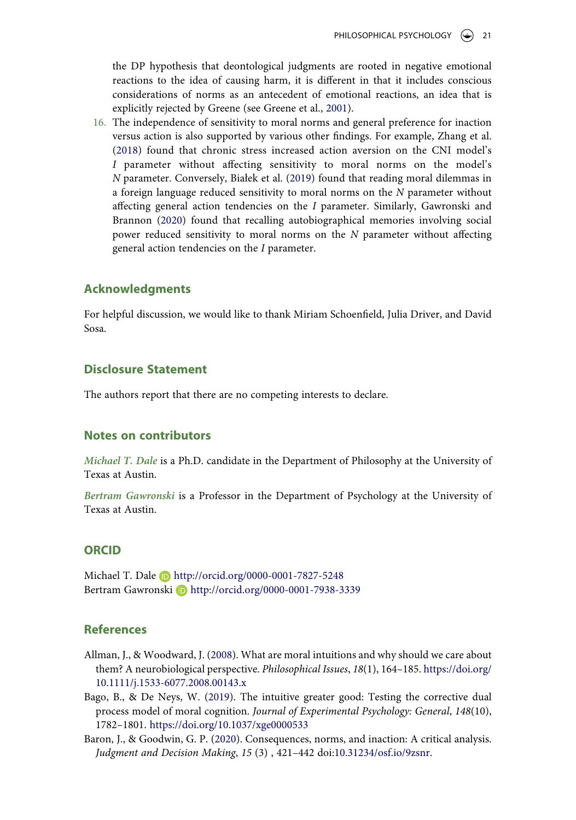the DP hypothesis that deontological judgments are rooted in negative emotional reactions to the idea of causing harm, it is different in that it includes conscious considerations of norms as an antecedent of emotional reactions, an idea that is explicitly rejected by Greene (see Greene et al., [2001\)](#page-22-4).

<span id="page-20-6"></span><span id="page-20-4"></span><span id="page-20-3"></span>16. The independence of sensitivity to moral norms and general preference for inaction versus action is also supported by various other findings. For example, Zhang et al. ([2018](#page-24-4)) found that chronic stress increased action aversion on the CNI model's *I* parameter without affecting sensitivity to moral norms on the model's *N* parameter. Conversely, Białek et al. [\(2019\)](#page-21-16) found that reading moral dilemmas in a foreign language reduced sensitivity to moral norms on the *N* parameter without affecting general action tendencies on the *I* parameter. Similarly, Gawronski and Brannon ([2020](#page-22-17)) found that recalling autobiographical memories involving social power reduced sensitivity to moral norms on the *N* parameter without affecting general action tendencies on the *I* parameter.

## <span id="page-20-5"></span>**Acknowledgments**

For helpful discussion, we would like to thank Miriam Schoenfield, Julia Driver, and David Sosa.

## **Disclosure Statement**

The authors report that there are no competing interests to declare.

### **Notes on contributors**

*Michael T. Dale* is a Ph.D. candidate in the Department of Philosophy at the University of Texas at Austin.

*Bertram Gawronski* is a Professor in the Department of Psychology at the University of Texas at Austin.

## **ORCID**

Michael T. Dale **b** http://orcid.org/0000-0001-7827-5248 Bertram Gawronski D http://orcid.org/0000-0001-7938-3339

## **References**

- <span id="page-20-1"></span>Allman, J., & Woodward, J. ([2008\)](#page-1-0). What are moral intuitions and why should we care about them? A neurobiological perspective. *Philosophical Issues*, *18*(1), 164–185. [https://doi.org/](https://doi.org/10.1111/j.1533-6077.2008.00143.x) [10.1111/j.1533-6077.2008.00143.x](https://doi.org/10.1111/j.1533-6077.2008.00143.x)
- <span id="page-20-0"></span>Bago, B., & De Neys, W. [\(2019\)](#page-1-1). The intuitive greater good: Testing the corrective dual process model of moral cognition. *Journal of Experimental Psychology: General*, *148*(10), 1782–1801. <https://doi.org/10.1037/xge0000533>
- <span id="page-20-2"></span>Baron, J., & Goodwin, G. P. [\(2020](#page-12-1)). Consequences, norms, and inaction: A critical analysis. *Judgment and Decision Making*, *15* (3) , 421–442 doi:[10.31234/osf.io/9zsnr](https://doi.org/10.31234/osf.io/9zsnr).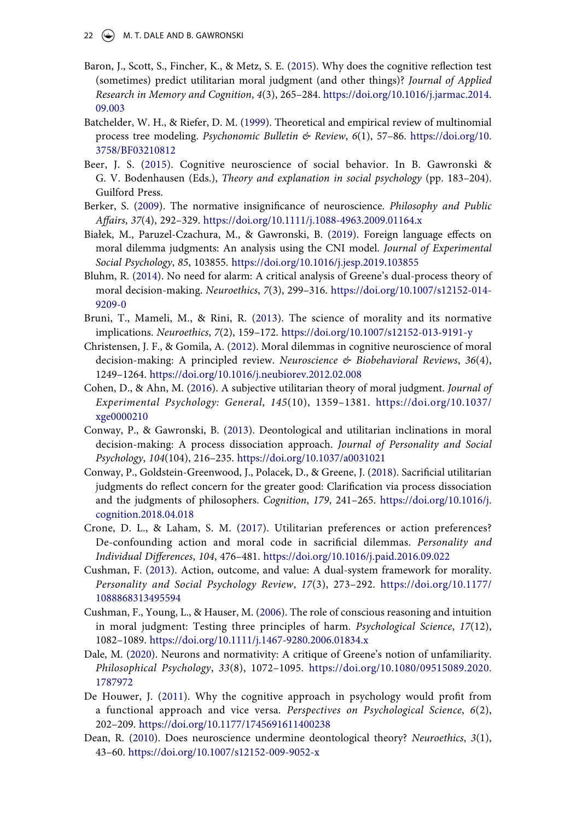- <span id="page-21-10"></span>Baron, J., Scott, S., Fincher, K., & Metz, S. E. [\(2015\)](#page-11-0). Why does the cognitive reflection test (sometimes) predict utilitarian moral judgment (and other things)? *Journal of Applied Research in Memory and Cognition*, *4*(3), 265–284. [https://doi.org/10.1016/j.jarmac.2014.](https://doi.org/10.1016/j.jarmac.2014.09.003) [09.003](https://doi.org/10.1016/j.jarmac.2014.09.003)
- <span id="page-21-8"></span>Batchelder, W. H., & Riefer, D. M. [\(1999\)](#page-8-1). Theoretical and empirical review of multinomial process tree modeling. *Psychonomic Bulletin & Review*, *6*(1), 57–86. [https://doi.org/10.](https://doi.org/10.3758/BF03210812) [3758/BF03210812](https://doi.org/10.3758/BF03210812)
- <span id="page-21-12"></span>Beer, J. S. [\(2015\)](#page-18-7). Cognitive neuroscience of social behavior. In B. Gawronski & G. V. Bodenhausen (Eds.), *Theory and explanation in social psychology* (pp. 183–204). Guilford Press.
- <span id="page-21-2"></span>Berker, S. ([2009](#page-1-0)). The normative insignificance of neuroscience. *Philosophy and Public Affairs*, *37*(4), 292–329. <https://doi.org/10.1111/j.1088-4963.2009.01164.x>
- <span id="page-21-16"></span>Białek, M., Paruzel-Czachura, M., & Gawronski, B. ([2019](#page-20-4)). Foreign language effects on moral dilemma judgments: An analysis using the CNI model. *Journal of Experimental Social Psychology*, *85*, 103855. <https://doi.org/10.1016/j.jesp.2019.103855>
- <span id="page-21-1"></span>Bluhm, R. ([2014\)](#page-1-2). No need for alarm: A critical analysis of Greene's dual-process theory of moral decision-making. *Neuroethics*, *7*(3), 299–316. [https://doi.org/10.1007/s12152-014-](https://doi.org/10.1007/s12152-014-9209-0) [9209-0](https://doi.org/10.1007/s12152-014-9209-0)
- <span id="page-21-3"></span>Bruni, T., Mameli, M., & Rini, R. [\(2013\)](#page-1-0). The science of morality and its normative implications. *Neuroethics*, *7*(2), 159–172. <https://doi.org/10.1007/s12152-013-9191-y>
- <span id="page-21-11"></span>Christensen, J. F., & Gomila, A. ([2012](#page-16-0)). Moral dilemmas in cognitive neuroscience of moral decision-making: A principled review. *Neuroscience & Biobehavioral Reviews*, *36*(4), 1249–1264. <https://doi.org/10.1016/j.neubiorev.2012.02.008>
- <span id="page-21-0"></span>Cohen, D., & Ahn, M. [\(2016](#page-1-1)). A subjective utilitarian theory of moral judgment. *Journal of Experimental Psychology: General*, *145*(10), 1359–1381. [https://doi.org/10.1037/](https://doi.org/10.1037/xge0000210)  [xge0000210](https://doi.org/10.1037/xge0000210)
- <span id="page-21-6"></span>Conway, P., & Gawronski, B. ([2013\)](#page-6-1). Deontological and utilitarian inclinations in moral decision-making: A process dissociation approach. *Journal of Personality and Social Psychology*, *104*(104), 216–235. <https://doi.org/10.1037/a0031021>
- <span id="page-21-13"></span>Conway, P., Goldstein-Greenwood, J., Polacek, D., & Greene, J. [\(2018](#page-18-8)). Sacrificial utilitarian judgments do reflect concern for the greater good: Clarification via process dissociation and the judgments of philosophers. *Cognition*, *179*, 241–265. [https://doi.org/10.1016/j.](https://doi.org/10.1016/j.cognition.2018.04.018) [cognition.2018.04.018](https://doi.org/10.1016/j.cognition.2018.04.018)
- <span id="page-21-7"></span>Crone, D. L., & Laham, S. M. [\(2017](#page-7-0)). Utilitarian preferences or action preferences? De-confounding action and moral code in sacrificial dilemmas. *Personality and Individual Differences*, *104*, 476–481. <https://doi.org/10.1016/j.paid.2016.09.022>
- <span id="page-21-14"></span>Cushman, F. [\(2013](#page-18-6)). Action, outcome, and value: A dual-system framework for morality. *Personality and Social Psychology Review*, *17*(3), 273–292. [https://doi.org/10.1177/](https://doi.org/10.1177/1088868313495594) [1088868313495594](https://doi.org/10.1177/1088868313495594)
- <span id="page-21-15"></span>Cushman, F., Young, L., & Hauser, M. ([2006\)](#page-19-8). The role of conscious reasoning and intuition in moral judgment: Testing three principles of harm. *Psychological Science*, *17*(12), 1082–1089. <https://doi.org/10.1111/j.1467-9280.2006.01834.x>
- <span id="page-21-4"></span>Dale, M. [\(2020\)](#page-1-0). Neurons and normativity: A critique of Greene's notion of unfamiliarity. *Philosophical Psychology*, *33*(8), 1072–1095. [https://doi.org/10.1080/09515089.2020.](https://doi.org/10.1080/09515089.2020.1787972) [1787972](https://doi.org/10.1080/09515089.2020.1787972)
- <span id="page-21-9"></span>De Houwer, J. ([2011](#page-10-1)). Why the cognitive approach in psychology would profit from a functional approach and vice versa. *Perspectives on Psychological Science*, *6*(2), 202–209. <https://doi.org/10.1177/1745691611400238>
- <span id="page-21-5"></span>Dean, R. ([2010](#page-1-3)). Does neuroscience undermine deontological theory? *Neuroethics*, *3*(1), 43–60. <https://doi.org/10.1007/s12152-009-9052-x>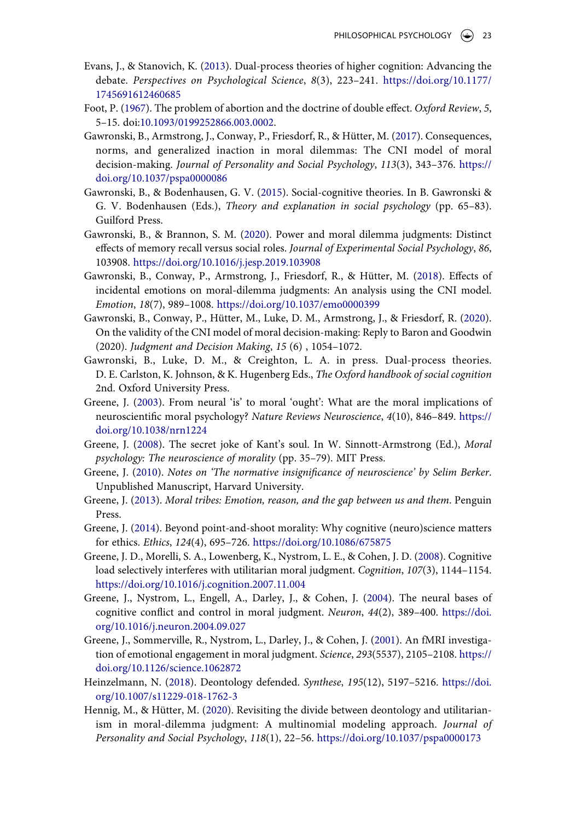- <span id="page-22-10"></span>Evans, J., & Stanovich, K. ([2013](#page-4-0)). Dual-process theories of higher cognition: Advancing the debate. *Perspectives on Psychological Science*, *8*(3), 223–241. [https://doi.org/10.1177/](https://doi.org/10.1177/1745691612460685) [1745691612460685](https://doi.org/10.1177/1745691612460685)
- <span id="page-22-5"></span>Foot, P. ([1967\)](#page-1-4). The problem of abortion and the doctrine of double effect. *Oxford Review*, *5*, 5–15. doi:[10.1093/0199252866.003.0002.](https://doi.org/10.1093/0199252866.003.0002)
- <span id="page-22-8"></span>Gawronski, B., Armstrong, J., Conway, P., Friesdorf, R., & Hütter, M. ([2017](#page-1-5)). Consequences, norms, and generalized inaction in moral dilemmas: The CNI model of moral decision-making. *Journal of Personality and Social Psychology*, *113*(3), 343–376. [https://](https://doi.org/10.1037/pspa0000086) [doi.org/10.1037/pspa0000086](https://doi.org/10.1037/pspa0000086)
- <span id="page-22-14"></span>Gawronski, B., & Bodenhausen, G. V. [\(2015\)](#page-10-2). Social-cognitive theories. In B. Gawronski & G. V. Bodenhausen (Eds.), *Theory and explanation in social psychology* (pp. 65–83). Guilford Press.
- <span id="page-22-17"></span>Gawronski, B., & Brannon, S. M. [\(2020](#page-20-5)). Power and moral dilemma judgments: Distinct effects of memory recall versus social roles. *Journal of Experimental Social Psychology*, *86*, 103908. <https://doi.org/10.1016/j.jesp.2019.103908>
- <span id="page-22-13"></span>Gawronski, B., Conway, P., Armstrong, J., Friesdorf, R., & Hütter, M. [\(2018\)](#page-10-3). Effects of incidental emotions on moral-dilemma judgments: An analysis using the CNI model. *Emotion*, *18*(7), 989–1008. <https://doi.org/10.1037/emo0000399>
- <span id="page-22-12"></span>Gawronski, B., Conway, P., Hütter, M., Luke, D. M., Armstrong, J., & Friesdorf, R. ([2020\)](#page-9-0). On the validity of the CNI model of moral decision-making: Reply to Baron and Goodwin (2020). *Judgment and Decision Making*, *15* (6) , 1054–1072.
- <span id="page-22-11"></span>Gawronski, B., Luke, D. M., & Creighton, L. A. in press. Dual-process theories. D. E. Carlston, K. Johnson, & K. Hugenberg Eds., *The Oxford handbook of social cognition*  2nd. Oxford University Press.
- <span id="page-22-0"></span>Greene, J. [\(2003\)](#page-0-1). From neural 'is' to moral 'ought': What are the moral implications of neuroscientific moral psychology? *Nature Reviews Neuroscience*, *4*(10), 846–849. [https://](https://doi.org/10.1038/nrn1224) [doi.org/10.1038/nrn1224](https://doi.org/10.1038/nrn1224)
- <span id="page-22-1"></span>Greene, J. [\(2008\)](#page-0-1). The secret joke of Kant's soul. In W. Sinnott-Armstrong (Ed.), *Moral psychology: The neuroscience of morality* (pp. 35–79). MIT Press.
- <span id="page-22-9"></span>Greene, J. ([2010\)](#page-3-0). *Notes on 'The normative insignificance of neuroscience' by Selim Berker*. Unpublished Manuscript, Harvard University.
- <span id="page-22-6"></span>Greene, J. [\(2013](#page-1-6)). *Moral tribes: Emotion, reason, and the gap between us and them*. Penguin Press.
- <span id="page-22-2"></span>Greene, J. [\(2014](#page-0-2)). Beyond point-and-shoot morality: Why cognitive (neuro)science matters for ethics. *Ethics*, *124*(4), 695–726. <https://doi.org/10.1086/675875>
- <span id="page-22-15"></span>Greene, J. D., Morelli, S. A., Lowenberg, K., Nystrom, L. E., & Cohen, J. D. [\(2008](#page-11-1)). Cognitive load selectively interferes with utilitarian moral judgment. *Cognition*, *107*(3), 1144–1154. <https://doi.org/10.1016/j.cognition.2007.11.004>
- <span id="page-22-3"></span>Greene, J., Nystrom, L., Engell, A., Darley, J., & Cohen, J. [\(2004\)](#page-0-3). The neural bases of cognitive conflict and control in moral judgment. *Neuron*, *44*(2), 389–400. [https://doi.](https://doi.org/10.1016/j.neuron.2004.09.027) [org/10.1016/j.neuron.2004.09.027](https://doi.org/10.1016/j.neuron.2004.09.027)
- <span id="page-22-4"></span>Greene, J., Sommerville, R., Nystrom, L., Darley, J., & Cohen, J. ([2001](#page-0-3)). An fMRI investigation of emotional engagement in moral judgment. *Science*, *293*(5537), 2105–2108. [https://](https://doi.org/10.1126/science.1062872) [doi.org/10.1126/science.1062872](https://doi.org/10.1126/science.1062872)
- <span id="page-22-7"></span>Heinzelmann, N. ([2018\)](#page-1-3). Deontology defended. *Synthese*, *195*(12), 5197–5216. [https://doi.](https://doi.org/10.1007/s11229-018-1762-3) [org/10.1007/s11229-018-1762-3](https://doi.org/10.1007/s11229-018-1762-3)
- <span id="page-22-16"></span>Hennig, M., & Hütter, M. ([2020\)](#page-18-9). Revisiting the divide between deontology and utilitarianism in moral-dilemma judgment: A multinomial modeling approach. *Journal of Personality and Social Psychology*, *118*(1), 22–56. <https://doi.org/10.1037/pspa0000173>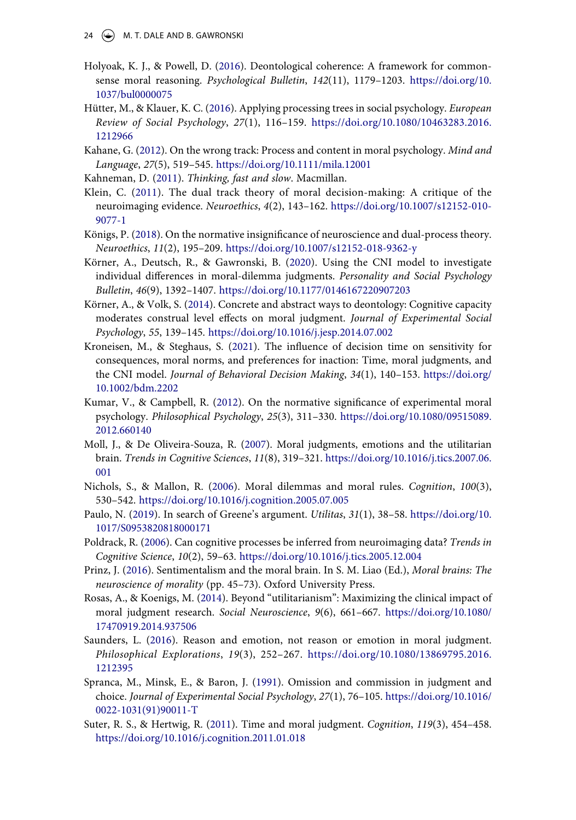- <span id="page-23-0"></span>Holyoak, K. J., & Powell, D. ([2016\)](#page-1-1). Deontological coherence: A framework for commonsense moral reasoning. *Psychological Bulletin*, *142*(11), 1179–1203. [https://doi.org/10.](https://doi.org/10.1037/bul0000075) [1037/bul0000075](https://doi.org/10.1037/bul0000075)
- <span id="page-23-7"></span>Hütter, M., & Klauer, K. C. [\(2016](#page-8-2)). Applying processing trees in social psychology. *European Review of Social Psychology*, *27*(1), 116–159. [https://doi.org/10.1080/10463283.2016.](https://doi.org/10.1080/10463283.2016.1212966) [1212966](https://doi.org/10.1080/10463283.2016.1212966)
- <span id="page-23-13"></span>Kahane, G. ([2012\)](#page-18-10). On the wrong track: Process and content in moral psychology. *Mind and Language*, *27*(5), 519–545. <https://doi.org/10.1111/mila.12001>
- <span id="page-23-6"></span>Kahneman, D. ([2011](#page-4-0)). *Thinking, fast and slow*. Macmillan.
- <span id="page-23-1"></span>Klein, C. ([2011\)](#page-1-2). The dual track theory of moral decision-making: A critique of the neuroimaging evidence. *Neuroethics*, *4*(2), 143–162. [https://doi.org/10.1007/s12152-010-](https://doi.org/10.1007/s12152-010-9077-1) [9077-1](https://doi.org/10.1007/s12152-010-9077-1)
- <span id="page-23-3"></span>Königs, P. ([2018](#page-1-3)). On the normative insignificance of neuroscience and dual-process theory. *Neuroethics*, *11*(2), 195–209. <https://doi.org/10.1007/s12152-018-9362-y>
- <span id="page-23-8"></span>Körner, A., Deutsch, R., & Gawronski, B. [\(2020](#page-9-1)). Using the CNI model to investigate individual differences in moral-dilemma judgments. *Personality and Social Psychology Bulletin*, *46*(9), 1392–1407. <https://doi.org/10.1177/0146167220907203>
- <span id="page-23-17"></span>Körner, A., & Volk, S. [\(2014](#page-19-9)). Concrete and abstract ways to deontology: Cognitive capacity moderates construal level effects on moral judgment. *Journal of Experimental Social Psychology*, *55*, 139–145. <https://doi.org/10.1016/j.jesp.2014.07.002>
- <span id="page-23-16"></span>Kroneisen, M., & Steghaus, S. ([2021](#page-19-10)). The influence of decision time on sensitivity for consequences, moral norms, and preferences for inaction: Time, moral judgments, and the CNI model. *Journal of Behavioral Decision Making*, *34*(1), 140–153. [https://doi.org/](https://doi.org/10.1002/bdm.2202) [10.1002/bdm.2202](https://doi.org/10.1002/bdm.2202)
- <span id="page-23-4"></span>Kumar, V., & Campbell, R. ([2012\)](#page-1-3). On the normative significance of experimental moral psychology. *Philosophical Psychology*, *25*(3), 311–330. [https://doi.org/10.1080/09515089.](https://doi.org/10.1080/09515089.2012.660140) [2012.660140](https://doi.org/10.1080/09515089.2012.660140)
- <span id="page-23-10"></span>Moll, J., & De Oliveira-Souza, R. ([2007\)](#page-16-1). Moral judgments, emotions and the utilitarian brain. *Trends in Cognitive Sciences*, *11*(8), 319–321. [https://doi.org/10.1016/j.tics.2007.06.](https://doi.org/10.1016/j.tics.2007.06.001) [001](https://doi.org/10.1016/j.tics.2007.06.001)
- <span id="page-23-18"></span>Nichols, S., & Mallon, R. ([2006](#page-19-11)). Moral dilemmas and moral rules. *Cognition*, *100*(3), 530–542. <https://doi.org/10.1016/j.cognition.2005.07.005>
- <span id="page-23-5"></span>Paulo, N. ([2019\)](#page-1-7). In search of Greene's argument. *Utilitas*, *31*(1), 38–58. [https://doi.org/10.](https://doi.org/10.1017/S0953820818000171) [1017/S0953820818000171](https://doi.org/10.1017/S0953820818000171)
- <span id="page-23-12"></span>Poldrack, R. ([2006](#page-18-11)). Can cognitive processes be inferred from neuroimaging data? *Trends in Cognitive Science*, *10*(2), 59–63. <https://doi.org/10.1016/j.tics.2005.12.004>
- <span id="page-23-11"></span>Prinz, J. [\(2016](#page-16-1)). Sentimentalism and the moral brain. In S. M. Liao (Ed.), *Moral brains: The neuroscience of morality* (pp. 45–73). Oxford University Press.
- <span id="page-23-14"></span>Rosas, A., & Koenigs, M. ([2014](#page-18-9)). Beyond "utilitarianism": Maximizing the clinical impact of moral judgment research. *Social Neuroscience*, *9*(6), 661–667. [https://doi.org/10.1080/](https://doi.org/10.1080/17470919.2014.937506) [17470919.2014.937506](https://doi.org/10.1080/17470919.2014.937506)
- <span id="page-23-2"></span>Saunders, L. ([2016](#page-1-2)). Reason and emotion, not reason or emotion in moral judgment. *Philosophical Explorations*, *19*(3), 252–267. [https://doi.org/10.1080/13869795.2016.](https://doi.org/10.1080/13869795.2016.1212395) [1212395](https://doi.org/10.1080/13869795.2016.1212395)
- <span id="page-23-15"></span>Spranca, M., Minsk, E., & Baron, J. [\(1991\)](#page-19-8). Omission and commission in judgment and choice. *Journal of Experimental Social Psychology*, *27*(1), 76–105. [https://doi.org/10.1016/](https://doi.org/10.1016/0022-1031(91)90011-T) [0022-1031\(91\)90011-T](https://doi.org/10.1016/0022-1031(91)90011-T)
- <span id="page-23-9"></span>Suter, R. S., & Hertwig, R. [\(2011](#page-11-0)). Time and moral judgment. *Cognition*, *119*(3), 454–458. <https://doi.org/10.1016/j.cognition.2011.01.018>